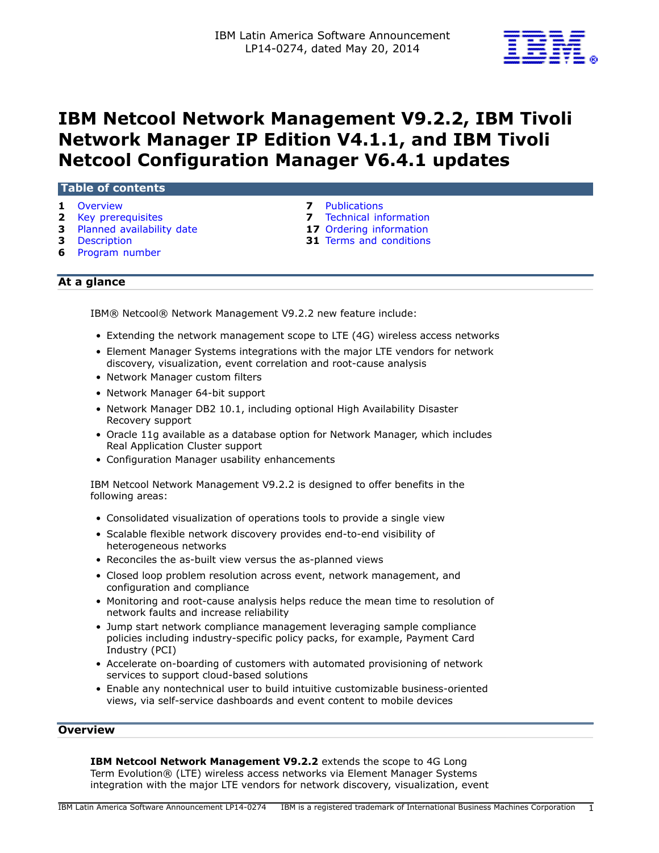

# **IBM Netcool Network Management V9.2.2, IBM Tivoli Network Manager IP Edition V4.1.1, and IBM Tivoli Netcool Configuration Manager V6.4.1 updates**

### **Table of contents**

- 
- 
- **3** [Planned availability date](#page-2-0) **17** [Ordering information](#page-16-0)
- 
- **6** [Program number](#page-5-0)
- **1** [Overview](#page-0-0) **7** [Publications](#page-6-0)
- **2** [Key prerequisites](#page-1-0) **7** [Technical information](#page-6-1) 
	-
- **3** [Description](#page-2-1) **31** [Terms and conditions](#page-30-0)

# **At a glance**

IBM® Netcool® Network Management V9.2.2 new feature include:

- Extending the network management scope to LTE (4G) wireless access networks
- Element Manager Systems integrations with the major LTE vendors for network discovery, visualization, event correlation and root-cause analysis
- Network Manager custom filters
- Network Manager 64-bit support
- Network Manager DB2 10.1, including optional High Availability Disaster Recovery support
- Oracle 11g available as a database option for Network Manager, which includes Real Application Cluster support
- Configuration Manager usability enhancements

IBM Netcool Network Management V9.2.2 is designed to offer benefits in the following areas:

- Consolidated visualization of operations tools to provide a single view
- Scalable flexible network discovery provides end-to-end visibility of heterogeneous networks
- Reconciles the as-built view versus the as-planned views
- Closed loop problem resolution across event, network management, and configuration and compliance
- Monitoring and root-cause analysis helps reduce the mean time to resolution of network faults and increase reliability
- Jump start network compliance management leveraging sample compliance policies including industry-specific policy packs, for example, Payment Card Industry (PCI)
- Accelerate on-boarding of customers with automated provisioning of network services to support cloud-based solutions
- Enable any nontechnical user to build intuitive customizable business-oriented views, via self-service dashboards and event content to mobile devices

### <span id="page-0-0"></span>**Overview**

**IBM Netcool Network Management V9.2.2** extends the scope to 4G Long Term Evolution® (LTE) wireless access networks via Element Manager Systems integration with the major LTE vendors for network discovery, visualization, event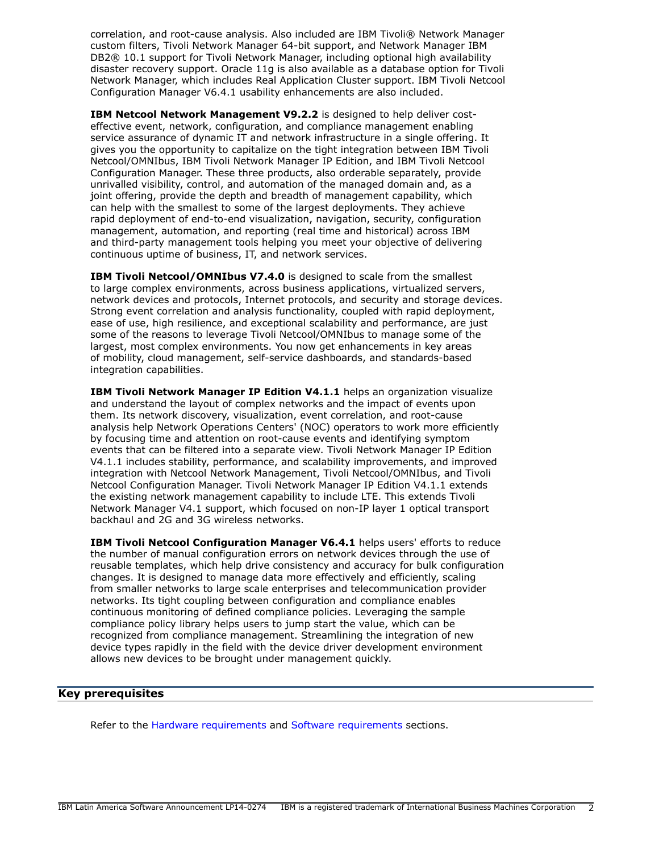correlation, and root-cause analysis. Also included are IBM Tivoli® Network Manager custom filters, Tivoli Network Manager 64-bit support, and Network Manager IBM DB2® 10.1 support for Tivoli Network Manager, including optional high availability disaster recovery support. Oracle 11g is also available as a database option for Tivoli Network Manager, which includes Real Application Cluster support. IBM Tivoli Netcool Configuration Manager V6.4.1 usability enhancements are also included.

**IBM Netcool Network Management V9.2.2** is designed to help deliver costeffective event, network, configuration, and compliance management enabling service assurance of dynamic IT and network infrastructure in a single offering. It gives you the opportunity to capitalize on the tight integration between IBM Tivoli Netcool/OMNIbus, IBM Tivoli Network Manager IP Edition, and IBM Tivoli Netcool Configuration Manager. These three products, also orderable separately, provide unrivalled visibility, control, and automation of the managed domain and, as a joint offering, provide the depth and breadth of management capability, which can help with the smallest to some of the largest deployments. They achieve rapid deployment of end-to-end visualization, navigation, security, configuration management, automation, and reporting (real time and historical) across IBM and third-party management tools helping you meet your objective of delivering continuous uptime of business, IT, and network services.

**IBM Tivoli Netcool/OMNIbus V7.4.0** is designed to scale from the smallest to large complex environments, across business applications, virtualized servers, network devices and protocols, Internet protocols, and security and storage devices. Strong event correlation and analysis functionality, coupled with rapid deployment, ease of use, high resilience, and exceptional scalability and performance, are just some of the reasons to leverage Tivoli Netcool/OMNIbus to manage some of the largest, most complex environments. You now get enhancements in key areas of mobility, cloud management, self-service dashboards, and standards-based integration capabilities.

**IBM Tivoli Network Manager IP Edition V4.1.1** helps an organization visualize and understand the layout of complex networks and the impact of events upon them. Its network discovery, visualization, event correlation, and root-cause analysis help Network Operations Centers' (NOC) operators to work more efficiently by focusing time and attention on root-cause events and identifying symptom events that can be filtered into a separate view. Tivoli Network Manager IP Edition V4.1.1 includes stability, performance, and scalability improvements, and improved integration with Netcool Network Management, Tivoli Netcool/OMNIbus, and Tivoli Netcool Configuration Manager. Tivoli Network Manager IP Edition V4.1.1 extends the existing network management capability to include LTE. This extends Tivoli Network Manager V4.1 support, which focused on non-IP layer 1 optical transport backhaul and 2G and 3G wireless networks.

**IBM Tivoli Netcool Configuration Manager V6.4.1** helps users' efforts to reduce the number of manual configuration errors on network devices through the use of reusable templates, which help drive consistency and accuracy for bulk configuration changes. It is designed to manage data more effectively and efficiently, scaling from smaller networks to large scale enterprises and telecommunication provider networks. Its tight coupling between configuration and compliance enables continuous monitoring of defined compliance policies. Leveraging the sample compliance policy library helps users to jump start the value, which can be recognized from compliance management. Streamlining the integration of new device types rapidly in the field with the device driver development environment allows new devices to be brought under management quickly.

# <span id="page-1-0"></span>**Key prerequisites**

Refer to the [Hardware requirements](#page-6-2) and [Software requirements](#page-6-3) sections.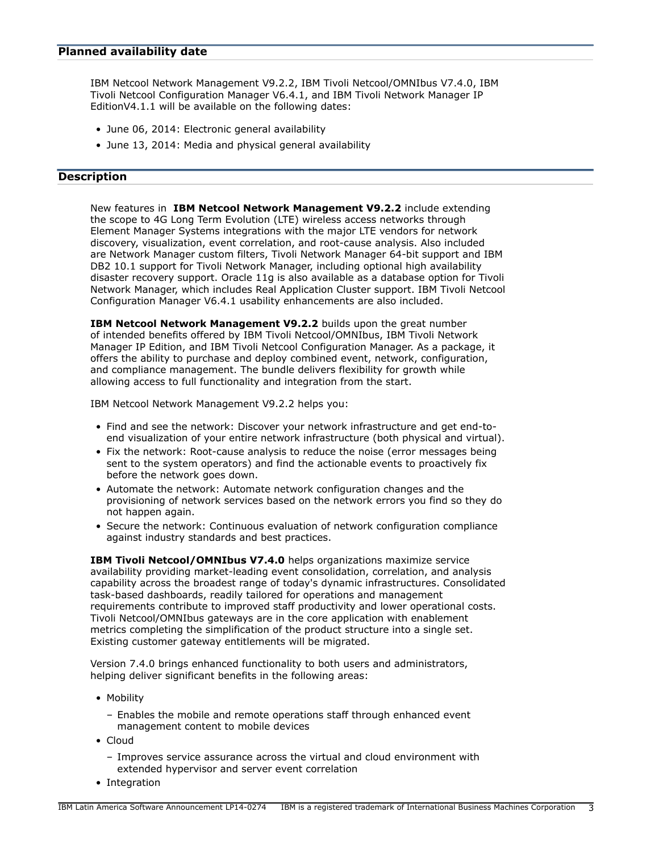### <span id="page-2-0"></span>**Planned availability date**

IBM Netcool Network Management V9.2.2, IBM Tivoli Netcool/OMNIbus V7.4.0, IBM Tivoli Netcool Configuration Manager V6.4.1, and IBM Tivoli Network Manager IP EditionV4.1.1 will be available on the following dates:

- June 06, 2014: Electronic general availability
- June 13, 2014: Media and physical general availability

# <span id="page-2-1"></span>**Description**

New features in **IBM Netcool Network Management V9.2.2** include extending the scope to 4G Long Term Evolution (LTE) wireless access networks through Element Manager Systems integrations with the major LTE vendors for network discovery, visualization, event correlation, and root-cause analysis. Also included are Network Manager custom filters, Tivoli Network Manager 64-bit support and IBM DB2 10.1 support for Tivoli Network Manager, including optional high availability disaster recovery support. Oracle 11g is also available as a database option for Tivoli Network Manager, which includes Real Application Cluster support. IBM Tivoli Netcool Configuration Manager V6.4.1 usability enhancements are also included.

**IBM Netcool Network Management V9.2.2** builds upon the great number of intended benefits offered by IBM Tivoli Netcool/OMNIbus, IBM Tivoli Network Manager IP Edition, and IBM Tivoli Netcool Configuration Manager. As a package, it offers the ability to purchase and deploy combined event, network, configuration, and compliance management. The bundle delivers flexibility for growth while allowing access to full functionality and integration from the start.

IBM Netcool Network Management V9.2.2 helps you:

- Find and see the network: Discover your network infrastructure and get end-toend visualization of your entire network infrastructure (both physical and virtual).
- Fix the network: Root-cause analysis to reduce the noise (error messages being sent to the system operators) and find the actionable events to proactively fix before the network goes down.
- Automate the network: Automate network configuration changes and the provisioning of network services based on the network errors you find so they do not happen again.
- Secure the network: Continuous evaluation of network configuration compliance against industry standards and best practices.

**IBM Tivoli Netcool/OMNIbus V7.4.0** helps organizations maximize service availability providing market-leading event consolidation, correlation, and analysis capability across the broadest range of today's dynamic infrastructures. Consolidated task-based dashboards, readily tailored for operations and management requirements contribute to improved staff productivity and lower operational costs. Tivoli Netcool/OMNIbus gateways are in the core application with enablement metrics completing the simplification of the product structure into a single set. Existing customer gateway entitlements will be migrated.

Version 7.4.0 brings enhanced functionality to both users and administrators, helping deliver significant benefits in the following areas:

- Mobility
	- Enables the mobile and remote operations staff through enhanced event management content to mobile devices
- Cloud
	- Improves service assurance across the virtual and cloud environment with extended hypervisor and server event correlation
- Integration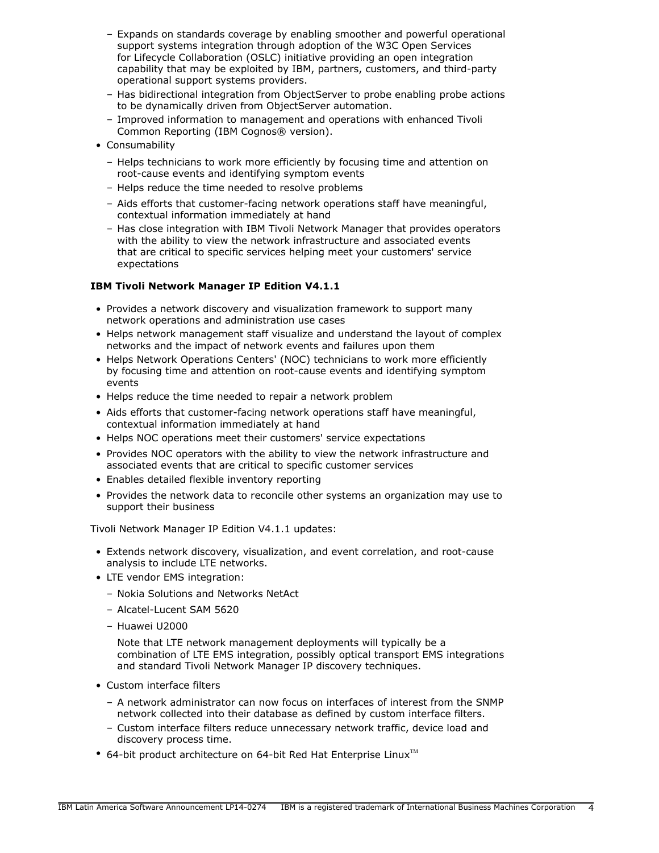- Expands on standards coverage by enabling smoother and powerful operational support systems integration through adoption of the W3C Open Services for Lifecycle Collaboration (OSLC) initiative providing an open integration capability that may be exploited by IBM, partners, customers, and third-party operational support systems providers.
- Has bidirectional integration from ObjectServer to probe enabling probe actions to be dynamically driven from ObjectServer automation.
- Improved information to management and operations with enhanced Tivoli Common Reporting (IBM Cognos® version).
- Consumability
	- Helps technicians to work more efficiently by focusing time and attention on root-cause events and identifying symptom events
	- Helps reduce the time needed to resolve problems
	- Aids efforts that customer-facing network operations staff have meaningful, contextual information immediately at hand
	- Has close integration with IBM Tivoli Network Manager that provides operators with the ability to view the network infrastructure and associated events that are critical to specific services helping meet your customers' service expectations

# **IBM Tivoli Network Manager IP Edition V4.1.1**

- Provides a network discovery and visualization framework to support many network operations and administration use cases
- Helps network management staff visualize and understand the layout of complex networks and the impact of network events and failures upon them
- Helps Network Operations Centers' (NOC) technicians to work more efficiently by focusing time and attention on root-cause events and identifying symptom events
- Helps reduce the time needed to repair a network problem
- Aids efforts that customer-facing network operations staff have meaningful, contextual information immediately at hand
- Helps NOC operations meet their customers' service expectations
- Provides NOC operators with the ability to view the network infrastructure and associated events that are critical to specific customer services
- Enables detailed flexible inventory reporting
- Provides the network data to reconcile other systems an organization may use to support their business

Tivoli Network Manager IP Edition V4.1.1 updates:

- Extends network discovery, visualization, and event correlation, and root-cause analysis to include LTE networks.
- LTE vendor EMS integration:
	- Nokia Solutions and Networks NetAct
	- Alcatel-Lucent SAM 5620
	- Huawei U2000

Note that LTE network management deployments will typically be a combination of LTE EMS integration, possibly optical transport EMS integrations and standard Tivoli Network Manager IP discovery techniques.

- Custom interface filters
	- A network administrator can now focus on interfaces of interest from the SNMP network collected into their database as defined by custom interface filters.
	- Custom interface filters reduce unnecessary network traffic, device load and discovery process time.
- 64-bit product architecture on 64-bit Red Hat Enterprise Linux $^{TM}$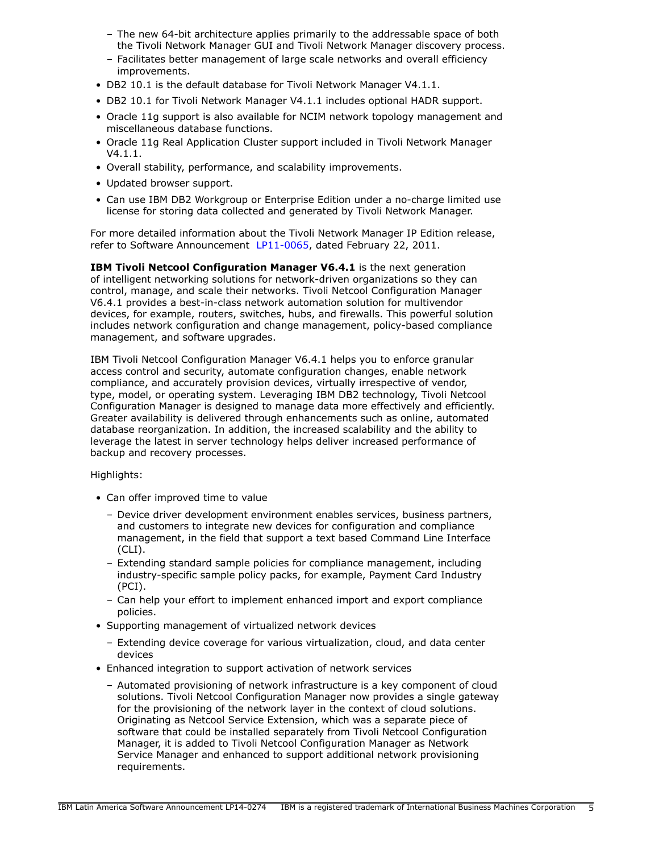- The new 64-bit architecture applies primarily to the addressable space of both the Tivoli Network Manager GUI and Tivoli Network Manager discovery process.
- Facilitates better management of large scale networks and overall efficiency improvements.
- DB2 10.1 is the default database for Tivoli Network Manager V4.1.1.
- DB2 10.1 for Tivoli Network Manager V4.1.1 includes optional HADR support.
- Oracle 11g support is also available for NCIM network topology management and miscellaneous database functions.
- Oracle 11g Real Application Cluster support included in Tivoli Network Manager V4.1.1.
- Overall stability, performance, and scalability improvements.
- Updated browser support.
- Can use IBM DB2 Workgroup or Enterprise Edition under a no-charge limited use license for storing data collected and generated by Tivoli Network Manager.

For more detailed information about the Tivoli Network Manager IP Edition release, refer to Software Announcement [LP11-0065](http://www.ibm.com/common/ssi/cgi-bin/ssialias?infotype=an&subtype=ca&appname=gpateam&supplier=899&letternum=ENUSLP11-0065), dated February 22, 2011.

**IBM Tivoli Netcool Configuration Manager V6.4.1** is the next generation of intelligent networking solutions for network-driven organizations so they can control, manage, and scale their networks. Tivoli Netcool Configuration Manager V6.4.1 provides a best-in-class network automation solution for multivendor devices, for example, routers, switches, hubs, and firewalls. This powerful solution includes network configuration and change management, policy-based compliance management, and software upgrades.

IBM Tivoli Netcool Configuration Manager V6.4.1 helps you to enforce granular access control and security, automate configuration changes, enable network compliance, and accurately provision devices, virtually irrespective of vendor, type, model, or operating system. Leveraging IBM DB2 technology, Tivoli Netcool Configuration Manager is designed to manage data more effectively and efficiently. Greater availability is delivered through enhancements such as online, automated database reorganization. In addition, the increased scalability and the ability to leverage the latest in server technology helps deliver increased performance of backup and recovery processes.

Highlights:

- Can offer improved time to value
	- Device driver development environment enables services, business partners, and customers to integrate new devices for configuration and compliance management, in the field that support a text based Command Line Interface (CLI).
	- Extending standard sample policies for compliance management, including industry-specific sample policy packs, for example, Payment Card Industry (PCI).
	- Can help your effort to implement enhanced import and export compliance policies.
- Supporting management of virtualized network devices
	- Extending device coverage for various virtualization, cloud, and data center devices
- Enhanced integration to support activation of network services
	- Automated provisioning of network infrastructure is a key component of cloud solutions. Tivoli Netcool Configuration Manager now provides a single gateway for the provisioning of the network layer in the context of cloud solutions. Originating as Netcool Service Extension, which was a separate piece of software that could be installed separately from Tivoli Netcool Configuration Manager, it is added to Tivoli Netcool Configuration Manager as Network Service Manager and enhanced to support additional network provisioning requirements.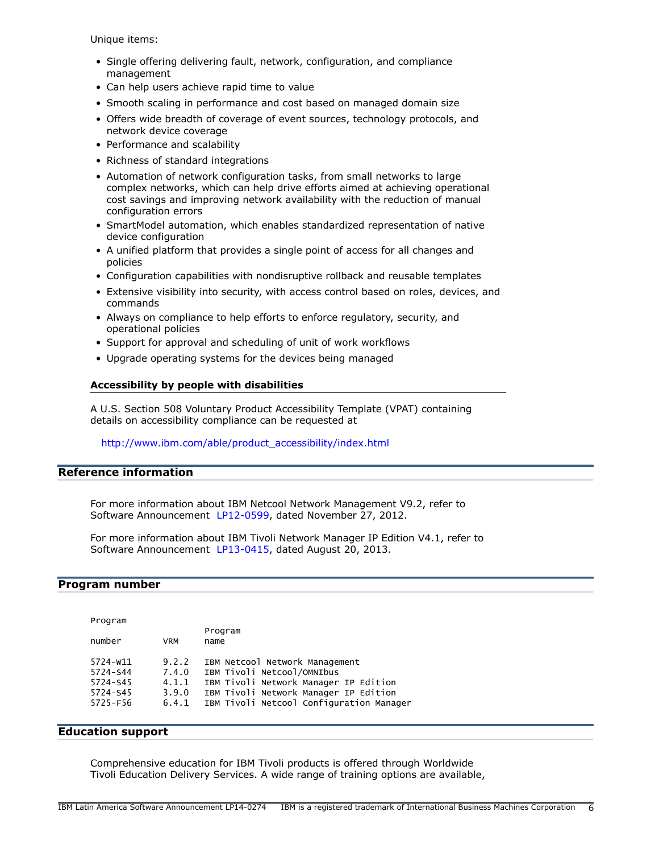Unique items:

- Single offering delivering fault, network, configuration, and compliance management
- Can help users achieve rapid time to value
- Smooth scaling in performance and cost based on managed domain size
- Offers wide breadth of coverage of event sources, technology protocols, and network device coverage
- Performance and scalability
- Richness of standard integrations
- Automation of network configuration tasks, from small networks to large complex networks, which can help drive efforts aimed at achieving operational cost savings and improving network availability with the reduction of manual configuration errors
- SmartModel automation, which enables standardized representation of native device configuration
- A unified platform that provides a single point of access for all changes and policies
- Configuration capabilities with nondisruptive rollback and reusable templates
- Extensive visibility into security, with access control based on roles, devices, and commands
- Always on compliance to help efforts to enforce regulatory, security, and operational policies
- Support for approval and scheduling of unit of work workflows
- Upgrade operating systems for the devices being managed

### **Accessibility by people with disabilities**

A U.S. Section 508 Voluntary Product Accessibility Template (VPAT) containing details on accessibility compliance can be requested at

### [http://www.ibm.com/able/product\\_accessibility/index.html](http://www.ibm.com/able/product_accessibility/index.html)

### **Reference information**

For more information about IBM Netcool Network Management V9.2, refer to Software Announcement [LP12-0599](http://www.ibm.com/common/ssi/cgi-bin/ssialias?infotype=an&subtype=ca&appname=gpateam&supplier=899&letternum=ENUSLP12-0599), dated November 27, 2012.

For more information about IBM Tivoli Network Manager IP Edition V4.1, refer to Software Announcement [LP13-0415](http://www.ibm.com/common/ssi/cgi-bin/ssialias?infotype=an&subtype=ca&appname=gpateam&supplier=899&letternum=ENUSLP13-0415), dated August 20, 2013.

### <span id="page-5-0"></span>**Program number**

| Program              |                |                                                                                |
|----------------------|----------------|--------------------------------------------------------------------------------|
| number               | VRM            | Program<br>name                                                                |
| 5724-w11<br>5724-S44 | 9.2.2<br>7.4.0 | IBM Netcool Network Management<br>IBM Tivoli Netcool/OMNIbus                   |
| 5724-S45<br>5724-S45 | 4.1.1<br>3.9.0 | IBM Tivoli Network Manager IP Edition<br>IBM Tivoli Network Manager IP Edition |
| 5725-F56             | 6.4.1          | IBM Tivoli Netcool Configuration Manager                                       |

### **Education support**

Comprehensive education for IBM Tivoli products is offered through Worldwide Tivoli Education Delivery Services. A wide range of training options are available,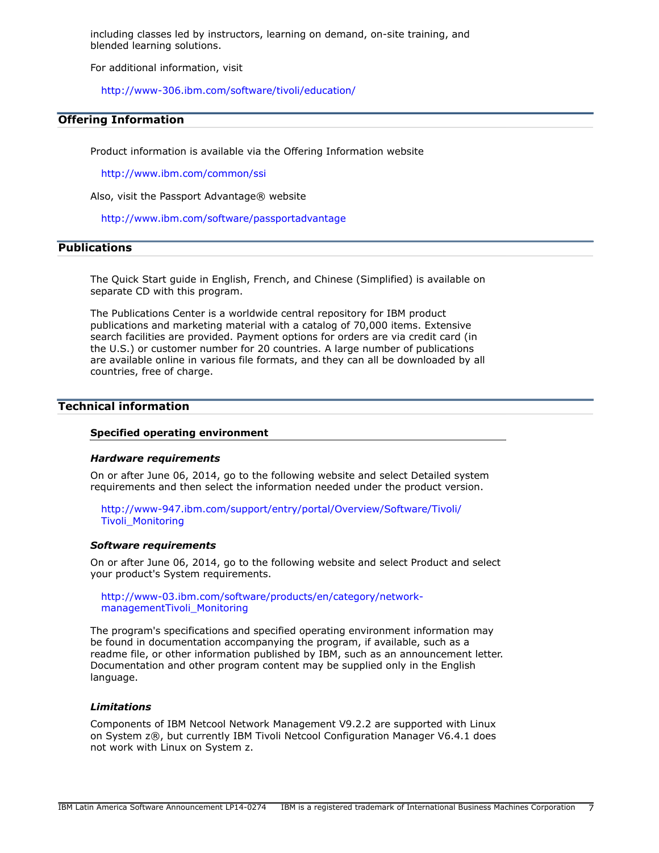including classes led by instructors, learning on demand, on-site training, and blended learning solutions.

For additional information, visit

<http://www-306.ibm.com/software/tivoli/education/>

### **Offering Information**

Product information is available via the Offering Information website

<http://www.ibm.com/common/ssi>

Also, visit the Passport Advantage® website

<http://www.ibm.com/software/passportadvantage>

# <span id="page-6-0"></span>**Publications**

The Quick Start guide in English, French, and Chinese (Simplified) is available on separate CD with this program.

The Publications Center is a worldwide central repository for IBM product publications and marketing material with a catalog of 70,000 items. Extensive search facilities are provided. Payment options for orders are via credit card (in the U.S.) or customer number for 20 countries. A large number of publications are available online in various file formats, and they can all be downloaded by all countries, free of charge.

### <span id="page-6-1"></span>**Technical information**

#### **Specified operating environment**

#### <span id="page-6-2"></span>*Hardware requirements*

On or after June 06, 2014, go to the following website and select Detailed system requirements and then select the information needed under the product version.

[http://www-947.ibm.com/support/entry/portal/Overview/Software/Tivoli/](http://www-947.ibm.com/support/entry/portal/Overview/Software/Tivoli/Tivoli_Monitoring) [Tivoli\\_Monitoring](http://www-947.ibm.com/support/entry/portal/Overview/Software/Tivoli/Tivoli_Monitoring)

#### <span id="page-6-3"></span>*Software requirements*

On or after June 06, 2014, go to the following website and select Product and select your product's System requirements.

[http://www-03.ibm.com/software/products/en/category/network](http://www-03.ibm.com/software/products/en/category/network-managementTivoli_Monitoring)[managementTivoli\\_Monitoring](http://www-03.ibm.com/software/products/en/category/network-managementTivoli_Monitoring)

The program's specifications and specified operating environment information may be found in documentation accompanying the program, if available, such as a readme file, or other information published by IBM, such as an announcement letter. Documentation and other program content may be supplied only in the English language.

### *Limitations*

Components of IBM Netcool Network Management V9.2.2 are supported with Linux on System z®, but currently IBM Tivoli Netcool Configuration Manager V6.4.1 does not work with Linux on System z.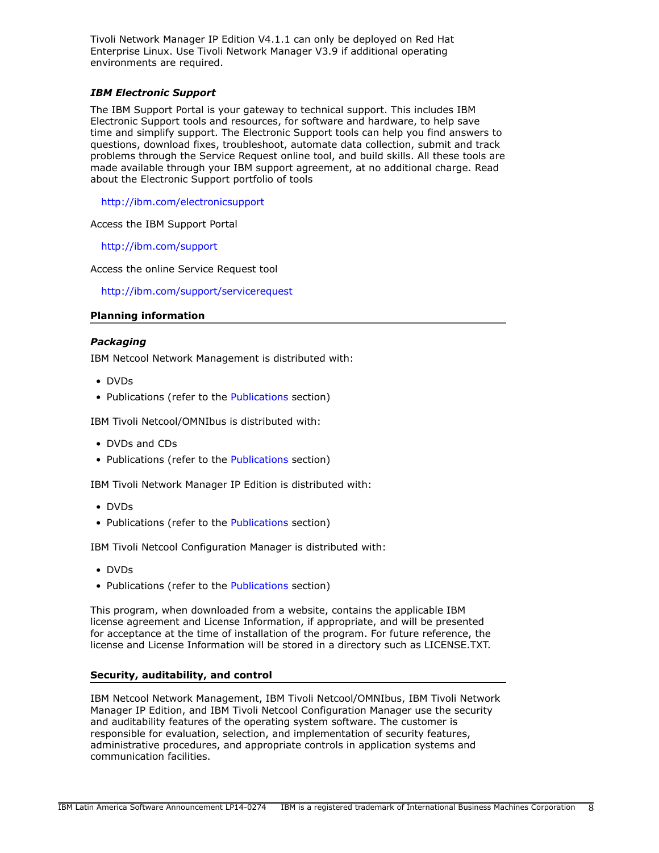Tivoli Network Manager IP Edition V4.1.1 can only be deployed on Red Hat Enterprise Linux. Use Tivoli Network Manager V3.9 if additional operating environments are required.

# *IBM Electronic Support*

The IBM Support Portal is your gateway to technical support. This includes IBM Electronic Support tools and resources, for software and hardware, to help save time and simplify support. The Electronic Support tools can help you find answers to questions, download fixes, troubleshoot, automate data collection, submit and track problems through the Service Request online tool, and build skills. All these tools are made available through your IBM support agreement, at no additional charge. Read about the Electronic Support portfolio of tools

<http://ibm.com/electronicsupport>

Access the IBM Support Portal

<http://ibm.com/support>

Access the online Service Request tool

<http://ibm.com/support/servicerequest>

### **Planning information**

### *Packaging*

IBM Netcool Network Management is distributed with:

- DVDs
- • [Publications](#page-6-0) (refer to the Publications section)

IBM Tivoli Netcool/OMNIbus is distributed with:

- DVDs and CDs
- • [Publications](#page-6-0) (refer to the Publications section)

IBM Tivoli Network Manager IP Edition is distributed with:

- DVDs
- • [Publications](#page-6-0) (refer to the Publications section)

IBM Tivoli Netcool Configuration Manager is distributed with:

- DVDs
- Publications (refer to the [Publications](#page-6-0) section)

This program, when downloaded from a website, contains the applicable IBM license agreement and License Information, if appropriate, and will be presented for acceptance at the time of installation of the program. For future reference, the license and License Information will be stored in a directory such as LICENSE.TXT.

### **Security, auditability, and control**

IBM Netcool Network Management, IBM Tivoli Netcool/OMNIbus, IBM Tivoli Network Manager IP Edition, and IBM Tivoli Netcool Configuration Manager use the security and auditability features of the operating system software. The customer is responsible for evaluation, selection, and implementation of security features, administrative procedures, and appropriate controls in application systems and communication facilities.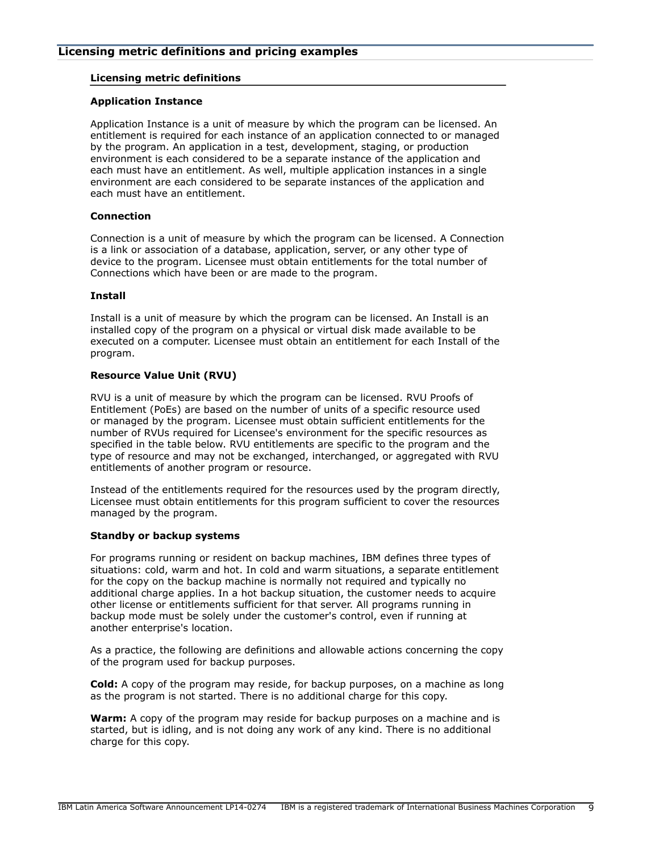### **Licensing metric definitions**

### **Application Instance**

Application Instance is a unit of measure by which the program can be licensed. An entitlement is required for each instance of an application connected to or managed by the program. An application in a test, development, staging, or production environment is each considered to be a separate instance of the application and each must have an entitlement. As well, multiple application instances in a single environment are each considered to be separate instances of the application and each must have an entitlement.

### **Connection**

Connection is a unit of measure by which the program can be licensed. A Connection is a link or association of a database, application, server, or any other type of device to the program. Licensee must obtain entitlements for the total number of Connections which have been or are made to the program.

### **Install**

Install is a unit of measure by which the program can be licensed. An Install is an installed copy of the program on a physical or virtual disk made available to be executed on a computer. Licensee must obtain an entitlement for each Install of the program.

### **Resource Value Unit (RVU)**

RVU is a unit of measure by which the program can be licensed. RVU Proofs of Entitlement (PoEs) are based on the number of units of a specific resource used or managed by the program. Licensee must obtain sufficient entitlements for the number of RVUs required for Licensee's environment for the specific resources as specified in the table below. RVU entitlements are specific to the program and the type of resource and may not be exchanged, interchanged, or aggregated with RVU entitlements of another program or resource.

Instead of the entitlements required for the resources used by the program directly, Licensee must obtain entitlements for this program sufficient to cover the resources managed by the program.

### **Standby or backup systems**

For programs running or resident on backup machines, IBM defines three types of situations: cold, warm and hot. In cold and warm situations, a separate entitlement for the copy on the backup machine is normally not required and typically no additional charge applies. In a hot backup situation, the customer needs to acquire other license or entitlements sufficient for that server. All programs running in backup mode must be solely under the customer's control, even if running at another enterprise's location.

As a practice, the following are definitions and allowable actions concerning the copy of the program used for backup purposes.

**Cold:** A copy of the program may reside, for backup purposes, on a machine as long as the program is not started. There is no additional charge for this copy.

**Warm:** A copy of the program may reside for backup purposes on a machine and is started, but is idling, and is not doing any work of any kind. There is no additional charge for this copy.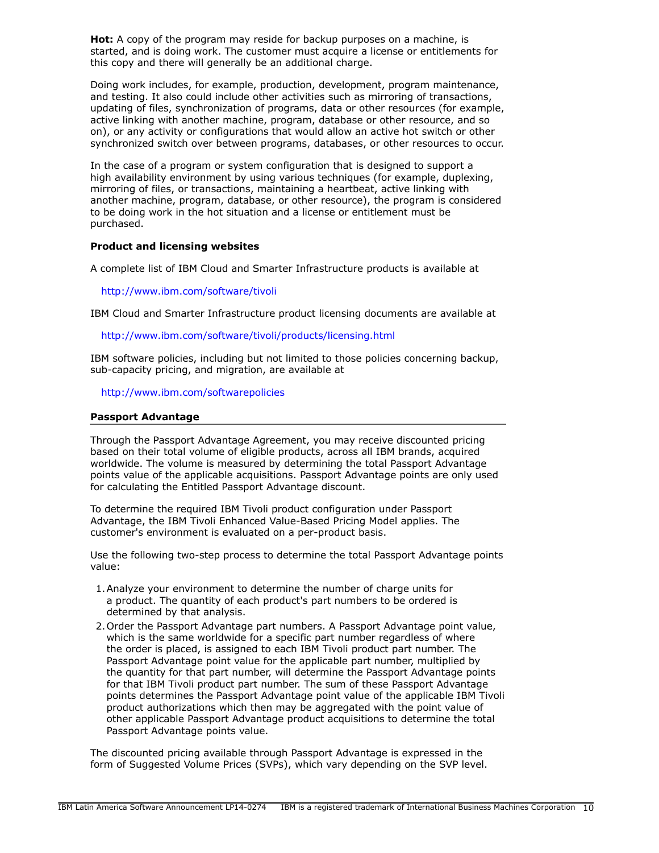**Hot:** A copy of the program may reside for backup purposes on a machine, is started, and is doing work. The customer must acquire a license or entitlements for this copy and there will generally be an additional charge.

Doing work includes, for example, production, development, program maintenance, and testing. It also could include other activities such as mirroring of transactions, updating of files, synchronization of programs, data or other resources (for example, active linking with another machine, program, database or other resource, and so on), or any activity or configurations that would allow an active hot switch or other synchronized switch over between programs, databases, or other resources to occur.

In the case of a program or system configuration that is designed to support a high availability environment by using various techniques (for example, duplexing, mirroring of files, or transactions, maintaining a heartbeat, active linking with another machine, program, database, or other resource), the program is considered to be doing work in the hot situation and a license or entitlement must be purchased.

### **Product and licensing websites**

A complete list of IBM Cloud and Smarter Infrastructure products is available at

### <http://www.ibm.com/software/tivoli>

IBM Cloud and Smarter Infrastructure product licensing documents are available at

<http://www.ibm.com/software/tivoli/products/licensing.html>

IBM software policies, including but not limited to those policies concerning backup, sub-capacity pricing, and migration, are available at

<http://www.ibm.com/softwarepolicies>

### **Passport Advantage**

Through the Passport Advantage Agreement, you may receive discounted pricing based on their total volume of eligible products, across all IBM brands, acquired worldwide. The volume is measured by determining the total Passport Advantage points value of the applicable acquisitions. Passport Advantage points are only used for calculating the Entitled Passport Advantage discount.

To determine the required IBM Tivoli product configuration under Passport Advantage, the IBM Tivoli Enhanced Value-Based Pricing Model applies. The customer's environment is evaluated on a per-product basis.

Use the following two-step process to determine the total Passport Advantage points value:

- 1.Analyze your environment to determine the number of charge units for a product. The quantity of each product's part numbers to be ordered is determined by that analysis.
- 2.Order the Passport Advantage part numbers. A Passport Advantage point value, which is the same worldwide for a specific part number regardless of where the order is placed, is assigned to each IBM Tivoli product part number. The Passport Advantage point value for the applicable part number, multiplied by the quantity for that part number, will determine the Passport Advantage points for that IBM Tivoli product part number. The sum of these Passport Advantage points determines the Passport Advantage point value of the applicable IBM Tivoli product authorizations which then may be aggregated with the point value of other applicable Passport Advantage product acquisitions to determine the total Passport Advantage points value.

The discounted pricing available through Passport Advantage is expressed in the form of Suggested Volume Prices (SVPs), which vary depending on the SVP level.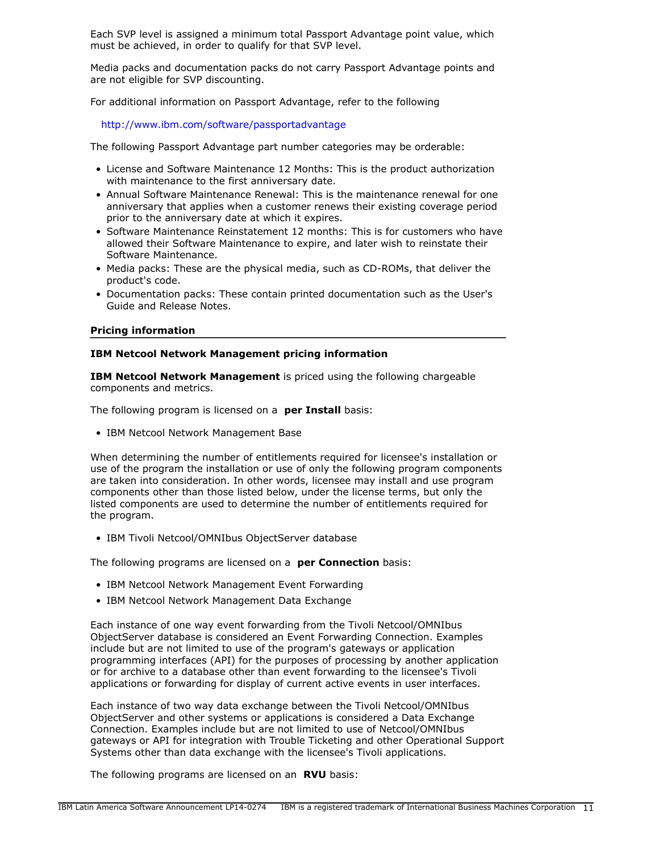Each SVP level is assigned a minimum total Passport Advantage point value, which must be achieved, in order to qualify for that SVP level.

Media packs and documentation packs do not carry Passport Advantage points and are not eligible for SVP discounting.

For additional information on Passport Advantage, refer to the following

<http://www.ibm.com/software/passportadvantage>

The following Passport Advantage part number categories may be orderable:

- License and Software Maintenance 12 Months: This is the product authorization with maintenance to the first anniversary date.
- Annual Software Maintenance Renewal: This is the maintenance renewal for one anniversary that applies when a customer renews their existing coverage period prior to the anniversary date at which it expires.
- Software Maintenance Reinstatement 12 months: This is for customers who have allowed their Software Maintenance to expire, and later wish to reinstate their Software Maintenance.
- Media packs: These are the physical media, such as CD-ROMs, that deliver the product's code.
- Documentation packs: These contain printed documentation such as the User's Guide and Release Notes.

### **Pricing information**

### **IBM Netcool Network Management pricing information**

**IBM Netcool Network Management** is priced using the following chargeable components and metrics.

The following program is licensed on a **per Install** basis:

• IBM Netcool Network Management Base

When determining the number of entitlements required for licensee's installation or use of the program the installation or use of only the following program components are taken into consideration. In other words, licensee may install and use program components other than those listed below, under the license terms, but only the listed components are used to determine the number of entitlements required for the program.

• IBM Tivoli Netcool/OMNIbus ObjectServer database

The following programs are licensed on a **per Connection** basis:

- IBM Netcool Network Management Event Forwarding
- IBM Netcool Network Management Data Exchange

Each instance of one way event forwarding from the Tivoli Netcool/OMNIbus ObjectServer database is considered an Event Forwarding Connection. Examples include but are not limited to use of the program's gateways or application programming interfaces (API) for the purposes of processing by another application or for archive to a database other than event forwarding to the licensee's Tivoli applications or forwarding for display of current active events in user interfaces.

Each instance of two way data exchange between the Tivoli Netcool/OMNIbus ObjectServer and other systems or applications is considered a Data Exchange Connection. Examples include but are not limited to use of Netcool/OMNIbus gateways or API for integration with Trouble Ticketing and other Operational Support Systems other than data exchange with the licensee's Tivoli applications.

The following programs are licensed on an **RVU** basis: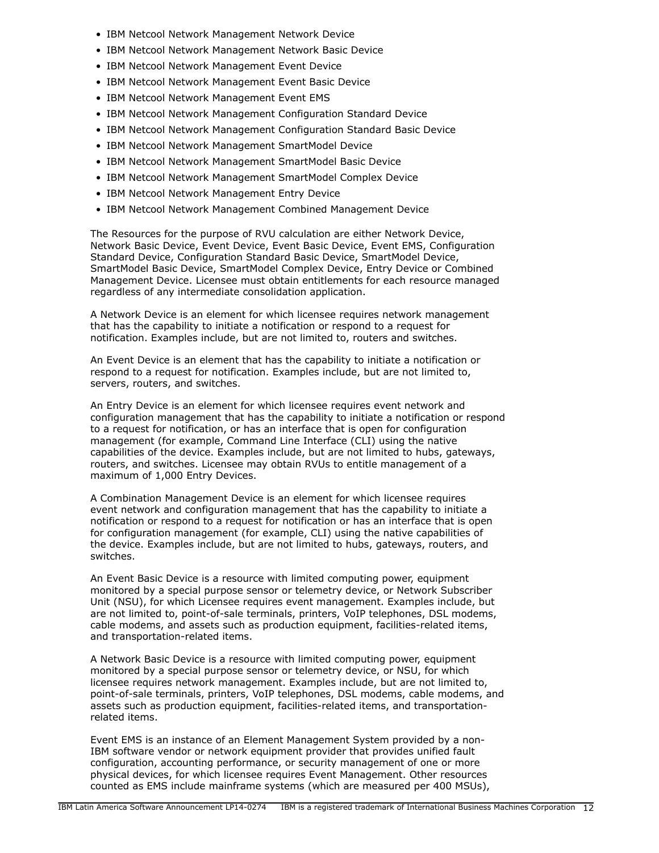- IBM Netcool Network Management Network Device
- IBM Netcool Network Management Network Basic Device
- IBM Netcool Network Management Event Device
- IBM Netcool Network Management Event Basic Device
- IBM Netcool Network Management Event EMS
- IBM Netcool Network Management Configuration Standard Device
- IBM Netcool Network Management Configuration Standard Basic Device
- IBM Netcool Network Management SmartModel Device
- IBM Netcool Network Management SmartModel Basic Device
- IBM Netcool Network Management SmartModel Complex Device
- IBM Netcool Network Management Entry Device
- IBM Netcool Network Management Combined Management Device

The Resources for the purpose of RVU calculation are either Network Device, Network Basic Device, Event Device, Event Basic Device, Event EMS, Configuration Standard Device, Configuration Standard Basic Device, SmartModel Device, SmartModel Basic Device, SmartModel Complex Device, Entry Device or Combined Management Device. Licensee must obtain entitlements for each resource managed regardless of any intermediate consolidation application.

A Network Device is an element for which licensee requires network management that has the capability to initiate a notification or respond to a request for notification. Examples include, but are not limited to, routers and switches.

An Event Device is an element that has the capability to initiate a notification or respond to a request for notification. Examples include, but are not limited to, servers, routers, and switches.

An Entry Device is an element for which licensee requires event network and configuration management that has the capability to initiate a notification or respond to a request for notification, or has an interface that is open for configuration management (for example, Command Line Interface (CLI) using the native capabilities of the device. Examples include, but are not limited to hubs, gateways, routers, and switches. Licensee may obtain RVUs to entitle management of a maximum of 1,000 Entry Devices.

A Combination Management Device is an element for which licensee requires event network and configuration management that has the capability to initiate a notification or respond to a request for notification or has an interface that is open for configuration management (for example, CLI) using the native capabilities of the device. Examples include, but are not limited to hubs, gateways, routers, and switches.

An Event Basic Device is a resource with limited computing power, equipment monitored by a special purpose sensor or telemetry device, or Network Subscriber Unit (NSU), for which Licensee requires event management. Examples include, but are not limited to, point-of-sale terminals, printers, VoIP telephones, DSL modems, cable modems, and assets such as production equipment, facilities-related items, and transportation-related items.

A Network Basic Device is a resource with limited computing power, equipment monitored by a special purpose sensor or telemetry device, or NSU, for which licensee requires network management. Examples include, but are not limited to, point-of-sale terminals, printers, VoIP telephones, DSL modems, cable modems, and assets such as production equipment, facilities-related items, and transportationrelated items.

Event EMS is an instance of an Element Management System provided by a non-IBM software vendor or network equipment provider that provides unified fault configuration, accounting performance, or security management of one or more physical devices, for which licensee requires Event Management. Other resources counted as EMS include mainframe systems (which are measured per 400 MSUs),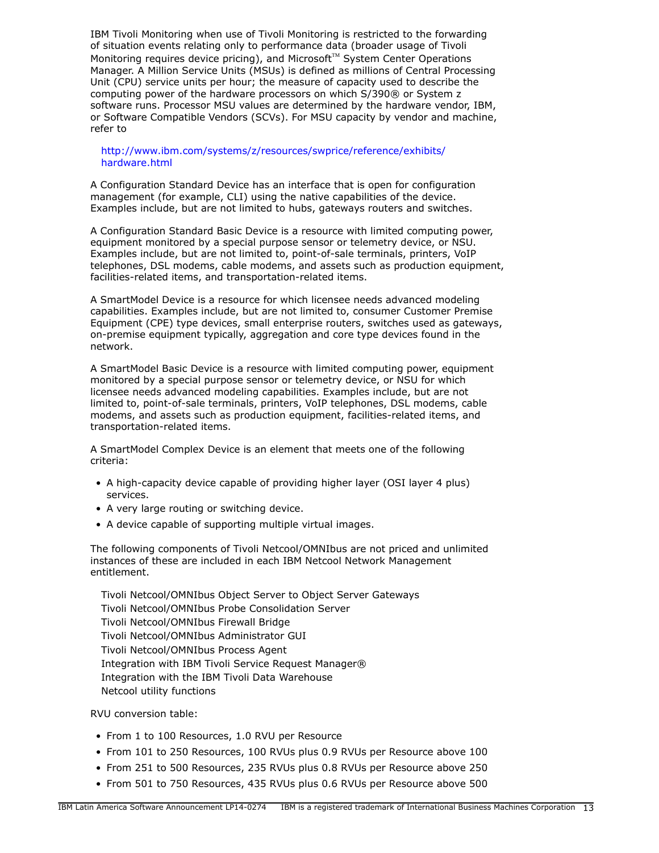IBM Tivoli Monitoring when use of Tivoli Monitoring is restricted to the forwarding of situation events relating only to performance data (broader usage of Tivoli Monitoring requires device pricing), and Microsoft<sup> $M$ </sup> System Center Operations Manager. A Million Service Units (MSUs) is defined as millions of Central Processing Unit (CPU) service units per hour; the measure of capacity used to describe the computing power of the hardware processors on which S/390® or System z software runs. Processor MSU values are determined by the hardware vendor, IBM, or Software Compatible Vendors (SCVs). For MSU capacity by vendor and machine, refer to

### [http://www.ibm.com/systems/z/resources/swprice/reference/exhibits/](http://www.ibm.com/systems/z/resources/swprice/reference/exhibits/hardware.html) [hardware.html](http://www.ibm.com/systems/z/resources/swprice/reference/exhibits/hardware.html)

A Configuration Standard Device has an interface that is open for configuration management (for example, CLI) using the native capabilities of the device. Examples include, but are not limited to hubs, gateways routers and switches.

A Configuration Standard Basic Device is a resource with limited computing power, equipment monitored by a special purpose sensor or telemetry device, or NSU. Examples include, but are not limited to, point-of-sale terminals, printers, VoIP telephones, DSL modems, cable modems, and assets such as production equipment, facilities-related items, and transportation-related items.

A SmartModel Device is a resource for which licensee needs advanced modeling capabilities. Examples include, but are not limited to, consumer Customer Premise Equipment (CPE) type devices, small enterprise routers, switches used as gateways, on-premise equipment typically, aggregation and core type devices found in the network.

A SmartModel Basic Device is a resource with limited computing power, equipment monitored by a special purpose sensor or telemetry device, or NSU for which licensee needs advanced modeling capabilities. Examples include, but are not limited to, point-of-sale terminals, printers, VoIP telephones, DSL modems, cable modems, and assets such as production equipment, facilities-related items, and transportation-related items.

A SmartModel Complex Device is an element that meets one of the following criteria:

- A high-capacity device capable of providing higher layer (OSI layer 4 plus) services.
- A very large routing or switching device.
- A device capable of supporting multiple virtual images.

The following components of Tivoli Netcool/OMNIbus are not priced and unlimited instances of these are included in each IBM Netcool Network Management entitlement.

Tivoli Netcool/OMNIbus Object Server to Object Server Gateways Tivoli Netcool/OMNIbus Probe Consolidation Server Tivoli Netcool/OMNIbus Firewall Bridge Tivoli Netcool/OMNIbus Administrator GUI Tivoli Netcool/OMNIbus Process Agent Integration with IBM Tivoli Service Request Manager® Integration with the IBM Tivoli Data Warehouse Netcool utility functions

RVU conversion table:

- From 1 to 100 Resources, 1.0 RVU per Resource
- From 101 to 250 Resources, 100 RVUs plus 0.9 RVUs per Resource above 100
- From 251 to 500 Resources, 235 RVUs plus 0.8 RVUs per Resource above 250
- From 501 to 750 Resources, 435 RVUs plus 0.6 RVUs per Resource above 500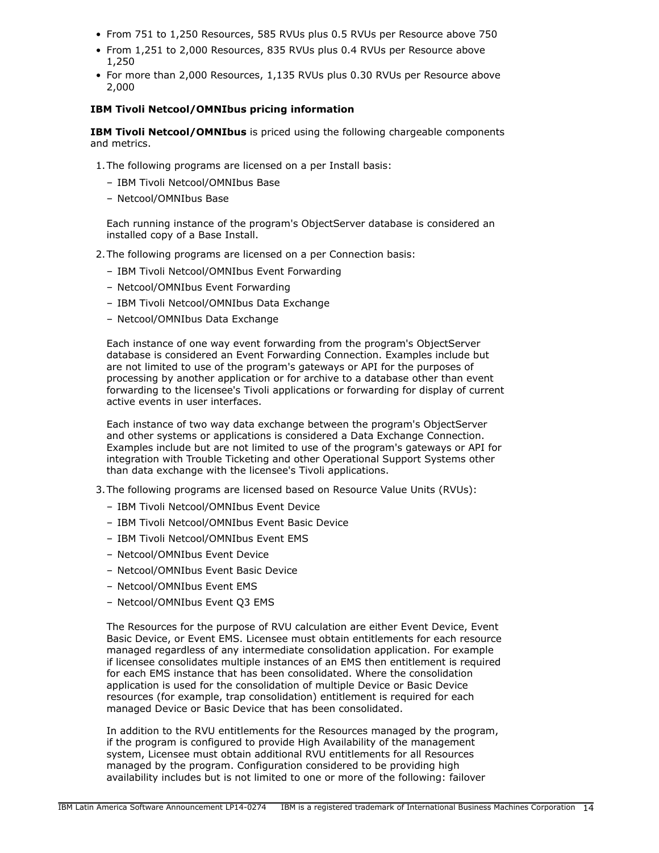- From 751 to 1,250 Resources, 585 RVUs plus 0.5 RVUs per Resource above 750
- From 1,251 to 2,000 Resources, 835 RVUs plus 0.4 RVUs per Resource above 1,250
- For more than 2,000 Resources, 1,135 RVUs plus 0.30 RVUs per Resource above 2,000

# **IBM Tivoli Netcool/OMNIbus pricing information**

**IBM Tivoli Netcool/OMNIbus** is priced using the following chargeable components and metrics.

- 1.The following programs are licensed on a per Install basis:
	- IBM Tivoli Netcool/OMNIbus Base
	- Netcool/OMNIbus Base

Each running instance of the program's ObjectServer database is considered an installed copy of a Base Install.

- 2.The following programs are licensed on a per Connection basis:
	- IBM Tivoli Netcool/OMNIbus Event Forwarding
	- Netcool/OMNIbus Event Forwarding
	- IBM Tivoli Netcool/OMNIbus Data Exchange
	- Netcool/OMNIbus Data Exchange

Each instance of one way event forwarding from the program's ObjectServer database is considered an Event Forwarding Connection. Examples include but are not limited to use of the program's gateways or API for the purposes of processing by another application or for archive to a database other than event forwarding to the licensee's Tivoli applications or forwarding for display of current active events in user interfaces.

Each instance of two way data exchange between the program's ObjectServer and other systems or applications is considered a Data Exchange Connection. Examples include but are not limited to use of the program's gateways or API for integration with Trouble Ticketing and other Operational Support Systems other than data exchange with the licensee's Tivoli applications.

- 3.The following programs are licensed based on Resource Value Units (RVUs):
	- IBM Tivoli Netcool/OMNIbus Event Device
	- IBM Tivoli Netcool/OMNIbus Event Basic Device
	- IBM Tivoli Netcool/OMNIbus Event EMS
	- Netcool/OMNIbus Event Device
	- Netcool/OMNIbus Event Basic Device
	- Netcool/OMNIbus Event EMS
	- Netcool/OMNIbus Event Q3 EMS

The Resources for the purpose of RVU calculation are either Event Device, Event Basic Device, or Event EMS. Licensee must obtain entitlements for each resource managed regardless of any intermediate consolidation application. For example if licensee consolidates multiple instances of an EMS then entitlement is required for each EMS instance that has been consolidated. Where the consolidation application is used for the consolidation of multiple Device or Basic Device resources (for example, trap consolidation) entitlement is required for each managed Device or Basic Device that has been consolidated.

In addition to the RVU entitlements for the Resources managed by the program, if the program is configured to provide High Availability of the management system, Licensee must obtain additional RVU entitlements for all Resources managed by the program. Configuration considered to be providing high availability includes but is not limited to one or more of the following: failover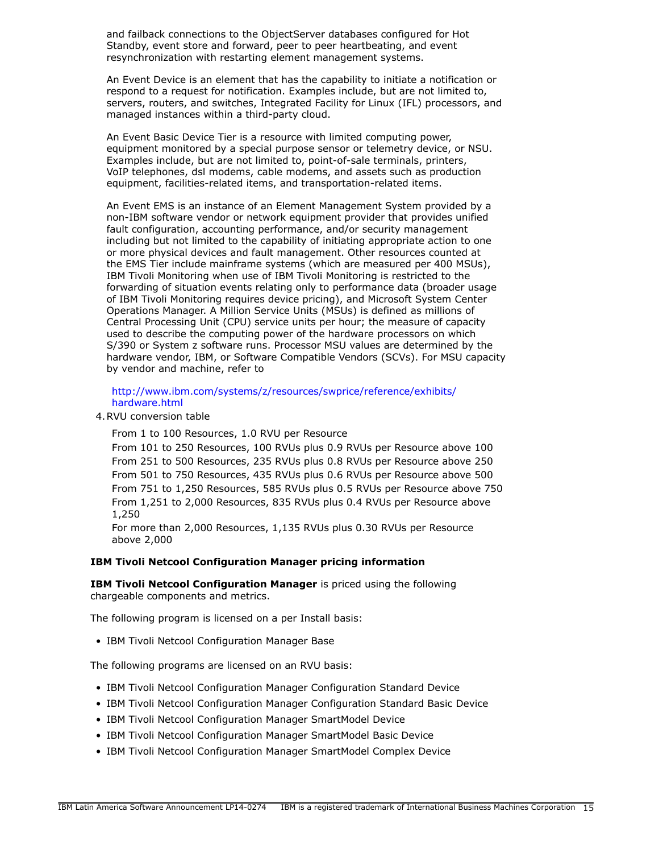and failback connections to the ObjectServer databases configured for Hot Standby, event store and forward, peer to peer heartbeating, and event resynchronization with restarting element management systems.

An Event Device is an element that has the capability to initiate a notification or respond to a request for notification. Examples include, but are not limited to, servers, routers, and switches, Integrated Facility for Linux (IFL) processors, and managed instances within a third-party cloud.

An Event Basic Device Tier is a resource with limited computing power, equipment monitored by a special purpose sensor or telemetry device, or NSU. Examples include, but are not limited to, point-of-sale terminals, printers, VoIP telephones, dsl modems, cable modems, and assets such as production equipment, facilities-related items, and transportation-related items.

An Event EMS is an instance of an Element Management System provided by a non-IBM software vendor or network equipment provider that provides unified fault configuration, accounting performance, and/or security management including but not limited to the capability of initiating appropriate action to one or more physical devices and fault management. Other resources counted at the EMS Tier include mainframe systems (which are measured per 400 MSUs), IBM Tivoli Monitoring when use of IBM Tivoli Monitoring is restricted to the forwarding of situation events relating only to performance data (broader usage of IBM Tivoli Monitoring requires device pricing), and Microsoft System Center Operations Manager. A Million Service Units (MSUs) is defined as millions of Central Processing Unit (CPU) service units per hour; the measure of capacity used to describe the computing power of the hardware processors on which S/390 or System z software runs. Processor MSU values are determined by the hardware vendor, IBM, or Software Compatible Vendors (SCVs). For MSU capacity by vendor and machine, refer to

[http://www.ibm.com/systems/z/resources/swprice/reference/exhibits/](http://www.ibm.com/systems/z/resources/swprice/reference/exhibits/hardware.html) [hardware.html](http://www.ibm.com/systems/z/resources/swprice/reference/exhibits/hardware.html)

4.RVU conversion table

From 1 to 100 Resources, 1.0 RVU per Resource

From 101 to 250 Resources, 100 RVUs plus 0.9 RVUs per Resource above 100 From 251 to 500 Resources, 235 RVUs plus 0.8 RVUs per Resource above 250 From 501 to 750 Resources, 435 RVUs plus 0.6 RVUs per Resource above 500 From 751 to 1,250 Resources, 585 RVUs plus 0.5 RVUs per Resource above 750 From 1,251 to 2,000 Resources, 835 RVUs plus 0.4 RVUs per Resource above 1,250

For more than 2,000 Resources, 1,135 RVUs plus 0.30 RVUs per Resource above 2,000

### **IBM Tivoli Netcool Configuration Manager pricing information**

**IBM Tivoli Netcool Configuration Manager** is priced using the following chargeable components and metrics.

The following program is licensed on a per Install basis:

• IBM Tivoli Netcool Configuration Manager Base

The following programs are licensed on an RVU basis:

- IBM Tivoli Netcool Configuration Manager Configuration Standard Device
- IBM Tivoli Netcool Configuration Manager Configuration Standard Basic Device
- IBM Tivoli Netcool Configuration Manager SmartModel Device
- IBM Tivoli Netcool Configuration Manager SmartModel Basic Device
- IBM Tivoli Netcool Configuration Manager SmartModel Complex Device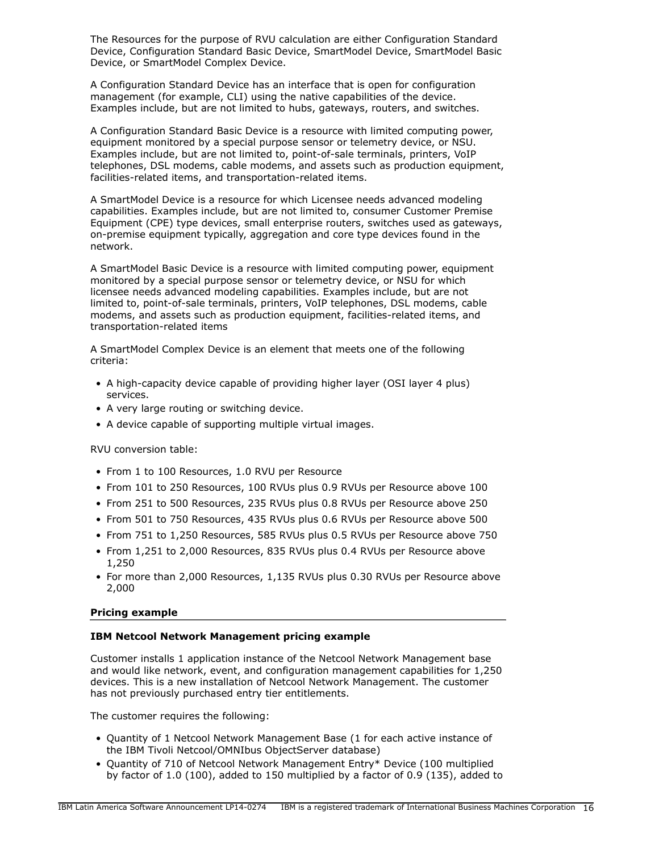The Resources for the purpose of RVU calculation are either Configuration Standard Device, Configuration Standard Basic Device, SmartModel Device, SmartModel Basic Device, or SmartModel Complex Device.

A Configuration Standard Device has an interface that is open for configuration management (for example, CLI) using the native capabilities of the device. Examples include, but are not limited to hubs, gateways, routers, and switches.

A Configuration Standard Basic Device is a resource with limited computing power, equipment monitored by a special purpose sensor or telemetry device, or NSU. Examples include, but are not limited to, point-of-sale terminals, printers, VoIP telephones, DSL modems, cable modems, and assets such as production equipment, facilities-related items, and transportation-related items.

A SmartModel Device is a resource for which Licensee needs advanced modeling capabilities. Examples include, but are not limited to, consumer Customer Premise Equipment (CPE) type devices, small enterprise routers, switches used as gateways, on-premise equipment typically, aggregation and core type devices found in the network.

A SmartModel Basic Device is a resource with limited computing power, equipment monitored by a special purpose sensor or telemetry device, or NSU for which licensee needs advanced modeling capabilities. Examples include, but are not limited to, point-of-sale terminals, printers, VoIP telephones, DSL modems, cable modems, and assets such as production equipment, facilities-related items, and transportation-related items

A SmartModel Complex Device is an element that meets one of the following criteria:

- A high-capacity device capable of providing higher layer (OSI layer 4 plus) services.
- A very large routing or switching device.
- A device capable of supporting multiple virtual images.

RVU conversion table:

- From 1 to 100 Resources, 1.0 RVU per Resource
- From 101 to 250 Resources, 100 RVUs plus 0.9 RVUs per Resource above 100
- From 251 to 500 Resources, 235 RVUs plus 0.8 RVUs per Resource above 250
- From 501 to 750 Resources, 435 RVUs plus 0.6 RVUs per Resource above 500
- From 751 to 1,250 Resources, 585 RVUs plus 0.5 RVUs per Resource above 750
- From 1,251 to 2,000 Resources, 835 RVUs plus 0.4 RVUs per Resource above 1,250
- For more than 2,000 Resources, 1,135 RVUs plus 0.30 RVUs per Resource above 2,000

### **Pricing example**

### **IBM Netcool Network Management pricing example**

Customer installs 1 application instance of the Netcool Network Management base and would like network, event, and configuration management capabilities for 1,250 devices. This is a new installation of Netcool Network Management. The customer has not previously purchased entry tier entitlements.

The customer requires the following:

- Quantity of 1 Netcool Network Management Base (1 for each active instance of the IBM Tivoli Netcool/OMNIbus ObjectServer database)
- Quantity of 710 of Netcool Network Management Entry\* Device (100 multiplied by factor of 1.0 (100), added to 150 multiplied by a factor of 0.9 (135), added to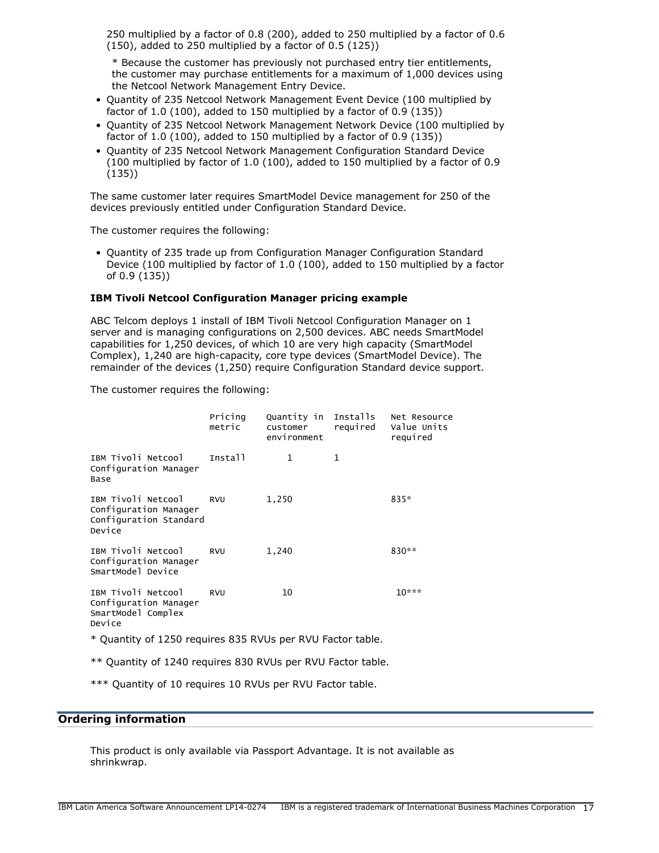250 multiplied by a factor of 0.8 (200), added to 250 multiplied by a factor of 0.6 (150), added to 250 multiplied by a factor of 0.5 (125))

\* Because the customer has previously not purchased entry tier entitlements, the customer may purchase entitlements for a maximum of 1,000 devices using the Netcool Network Management Entry Device.

- Quantity of 235 Netcool Network Management Event Device (100 multiplied by factor of 1.0 (100), added to 150 multiplied by a factor of 0.9 (135))
- Quantity of 235 Netcool Network Management Network Device (100 multiplied by factor of 1.0 (100), added to 150 multiplied by a factor of 0.9 (135))
- Quantity of 235 Netcool Network Management Configuration Standard Device (100 multiplied by factor of 1.0 (100), added to 150 multiplied by a factor of 0.9 (135))

The same customer later requires SmartModel Device management for 250 of the devices previously entitled under Configuration Standard Device.

The customer requires the following:

• Quantity of 235 trade up from Configuration Manager Configuration Standard Device (100 multiplied by factor of 1.0 (100), added to 150 multiplied by a factor of 0.9 (135))

### **IBM Tivoli Netcool Configuration Manager pricing example**

ABC Telcom deploys 1 install of IBM Tivoli Netcool Configuration Manager on 1 server and is managing configurations on 2,500 devices. ABC needs SmartModel capabilities for 1,250 devices, of which 10 are very high capacity (SmartModel Complex), 1,240 are high-capacity, core type devices (SmartModel Device). The remainder of the devices (1,250) require Configuration Standard device support.

The customer requires the following:

|                                                                                 | Pricing<br>metric | Quantity in Installs<br>customer<br>environment | required     | Net Resource<br>Value Units<br>required |
|---------------------------------------------------------------------------------|-------------------|-------------------------------------------------|--------------|-----------------------------------------|
| IBM Tivoli Netcool<br>Configuration Manager<br>Base                             | Install           | 1                                               | $\mathbf{1}$ |                                         |
| IBM Tivoli Netcool<br>Configuration Manager<br>Configuration Standard<br>Device | <b>RVU</b>        | 1,250                                           |              | 835*                                    |
| IBM Tivoli Netcool<br>Configuration Manager<br>SmartModel Device                | <b>RVU</b>        | 1,240                                           |              | 830**                                   |
| IBM Tivoli Netcool<br>Configuration Manager<br>SmartModel Complex<br>Device     | <b>RVU</b>        | 10                                              |              | $10***$                                 |
| * Quantity of 1250 requires 835 RVUs per RVU Factor table.                      |                   |                                                 |              |                                         |

\*\* Quantity of 1240 requires 830 RVUs per RVU Factor table.

\*\*\* Quantity of 10 requires 10 RVUs per RVU Factor table.

### <span id="page-16-0"></span>**Ordering information**

This product is only available via Passport Advantage. It is not available as shrinkwrap.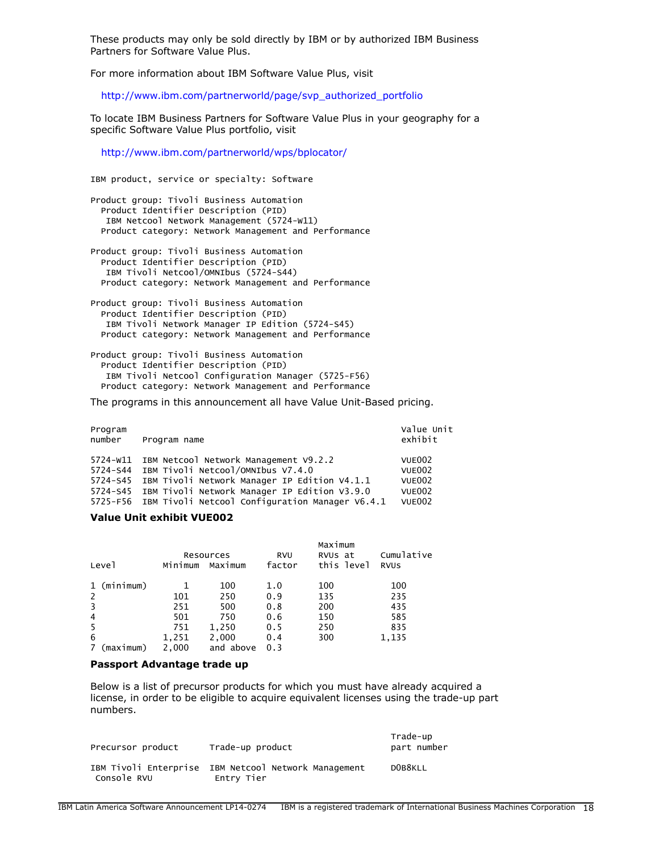These products may only be sold directly by IBM or by authorized IBM Business Partners for Software Value Plus.

For more information about IBM Software Value Plus, visit

[http://www.ibm.com/partnerworld/page/svp\\_authorized\\_portfolio](http://www.ibm.com/partnerworld/page/svp_authorized_portfolio)

To locate IBM Business Partners for Software Value Plus in your geography for a specific Software Value Plus portfolio, visit

<http://www.ibm.com/partnerworld/wps/bplocator/>

IBM product, service or specialty: Software

Product group: Tivoli Business Automation Product Identifier Description (PID) IBM Netcool Network Management (5724-W11) Product category: Network Management and Performance

Product group: Tivoli Business Automation Product Identifier Description (PID) IBM Tivoli Netcool/OMNIbus (5724-S44) Product category: Network Management and Performance

Product group: Tivoli Business Automation Product Identifier Description (PID) IBM Tivoli Network Manager IP Edition (5724-S45) Product category: Network Management and Performance

Product group: Tivoli Business Automation Product Identifier Description (PID) IBM Tivoli Netcool Configuration Manager (5725-F56) Product category: Network Management and Performance

The programs in this announcement all have Value Unit-Based pricing.

| Program<br>number | Program name                                                                                                                                                                                                                                                      | Value Unit<br>exhibit                                                      |
|-------------------|-------------------------------------------------------------------------------------------------------------------------------------------------------------------------------------------------------------------------------------------------------------------|----------------------------------------------------------------------------|
| 5724-W11          | IBM Netcool Network Management V9.2.2<br>5724-S44 IBM Tivoli Netcool/OMNIbus V7.4.0<br>5724-S45 IBM Tivoli Network Manager IP Edition V4.1.1<br>5724-S45 IBM Tivoli Network Manager IP Edition V3.9.0<br>5725-F56 IBM Tivoli Netcool Configuration Manager V6.4.1 | <b>VUE002</b><br><b>VUE002</b><br><b>VUE002</b><br>VUE002<br><b>VUE002</b> |

### **Value Unit exhibit VUE002**

|                          |         | Resources | <b>RVU</b> | Maximum<br>RVUS at | Cumulative  |
|--------------------------|---------|-----------|------------|--------------------|-------------|
| Level                    | Minimum | Maximum   | factor     | this level         | <b>RVUS</b> |
| 1 (minimum)              |         | 100       | 1.0        | 100                | 100         |
| 2                        | 101     | 250       | 0.9        | 135                | 235         |
| 3                        | 251     | 500       | 0.8        | 200                | 435         |
| $\overline{4}$           | 501     | 750       | 0.6        | 150                | 585         |
| 5                        | 751     | 1,250     | 0.5        | 250                | 835         |
| 6                        | 1,251   | 2,000     | 0.4        | 300                | 1,135       |
| (maximum)<br>$7^{\circ}$ | 2.000   | and above | 0.3        |                    |             |

#### **Passport Advantage trade up**

Below is a list of precursor products for which you must have already acquired a license, in order to be eligible to acquire equivalent licenses using the trade-up part numbers.

| Precursor product | Trade-up product                                                   | Trade-up<br>part number |
|-------------------|--------------------------------------------------------------------|-------------------------|
| Console RVU       | IBM Tivoli Enterprise IBM Netcool Network Management<br>Entry Tier | DOB8KLL                 |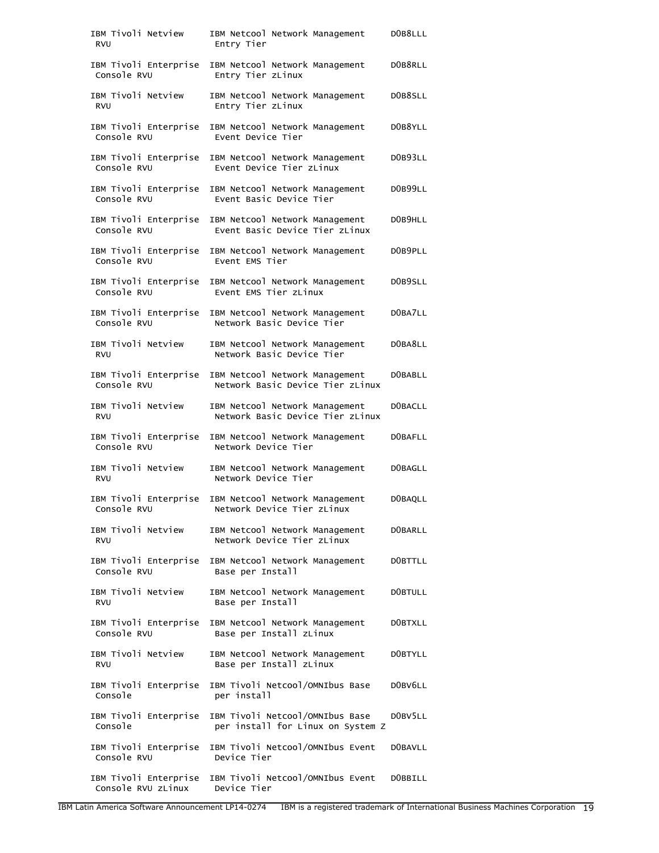| IBM Tivoli Netview<br><b>RVU</b>            | IBM Netcool Network Management<br>Entry Tier                         | DOB8LLL        |
|---------------------------------------------|----------------------------------------------------------------------|----------------|
| IBM Tivoli Enterprise<br>Console RVU        | IBM Netcool Network Management<br>Entry Tier zLinux                  | DOB8RLL        |
| IBM Tivoli Netview<br><b>RVU</b>            | IBM Netcool Network Management<br>Entry Tier zLinux                  | DOB8SLL        |
| IBM Tivoli Enterprise<br>Console RVU        | IBM Netcool Network Management<br>Event Device Tier                  | DOB8YLL        |
| IBM Tivoli Enterprise<br>Console RVU        | IBM Netcool Network Management<br>Event Device Tier zLinux           | DOB93LL        |
| IBM Tivoli Enterprise<br>Console RVU        | IBM Netcool Network Management<br>Event Basic Device Tier            | DOB99LL        |
| IBM Tivoli Enterprise<br>Console RVU        | IBM Netcool Network Management<br>Event Basic Device Tier zLinux     | DOB9HLL        |
| IBM Tivoli Enterprise<br>Console RVU        | IBM Netcool Network Management<br>Event EMS Tier                     | DOB9PLL        |
| IBM Tivoli Enterprise<br>Console RVU        | IBM Netcool Network Management<br>Event EMS Tier zLinux              | DOB9SLL        |
| IBM Tivoli Enterprise<br>Console RVU        | IBM Netcool Network Management<br>Network Basic Device Tier          | DOBA7LL        |
| IBM Tivoli Netview<br><b>RVU</b>            | IBM Netcool Network Management<br>Network Basic Device Tier          | DOBA8LL        |
| IBM Tivoli Enterprise<br>Console RVU        | IBM Netcool Network Management<br>Network Basic Device Tier zLinux   | D0BABLL        |
| IBM Tivoli Netview<br><b>RVU</b>            | IBM Netcool Network Management<br>Network Basic Device Tier zLinux   | <b>DOBACLL</b> |
| IBM Tivoli Enterprise<br>Console RVU        | IBM Netcool Network Management<br>Network Device Tier                | D0BAFLL        |
| IBM Tivoli Netview<br><b>RVU</b>            | IBM Netcool Network Management<br>Network Device Tier                | DOBAGLL        |
| IBM Tivoli Enterprise<br>Console RVU        | IBM Netcool Network Management<br>Network Device Tier zLinux         | D0BAQLL        |
| IBM Tivoli Netview<br><b>RVU</b>            | IBM Netcool Network Management<br>Network Device Tier zLinux         | D0BARLL        |
| IBM Tivoli Enterprise<br>Console RVU        | IBM Netcool Network Management<br>Base per Install                   | DOBTTLL        |
| IBM Tivoli Netview<br><b>RVU</b>            | IBM Netcool Network Management<br>Base per Install                   | DOBTULL        |
| IBM Tivoli Enterprise<br>Console RVU        | IBM Netcool Network Management<br>Base per Install zLinux            | D0BTXLL        |
| IBM Tivoli Netview<br><b>RVU</b>            | IBM Netcool Network Management<br>Base per Install zLinux            | D0BTYLL        |
| IBM Tivoli Enterprise<br>Console            | IBM Tivoli Netcool/OMNIbus Base<br>per install                       | DOBV6LL        |
| IBM Tivoli Enterprise<br>Console            | IBM Tivoli Netcool/OMNIbus Base<br>per install for Linux on System Z | DOBV5LL        |
| IBM Tivoli Enterprise<br>Console RVU        | IBM Tivoli Netcool/OMNIbus Event<br>Device Tier                      | D0BAVLL        |
| IBM Tivoli Enterprise<br>Console RVU zLinux | IBM Tivoli Netcool/OMNIbus Event<br>Device Tier                      | DOBBILL        |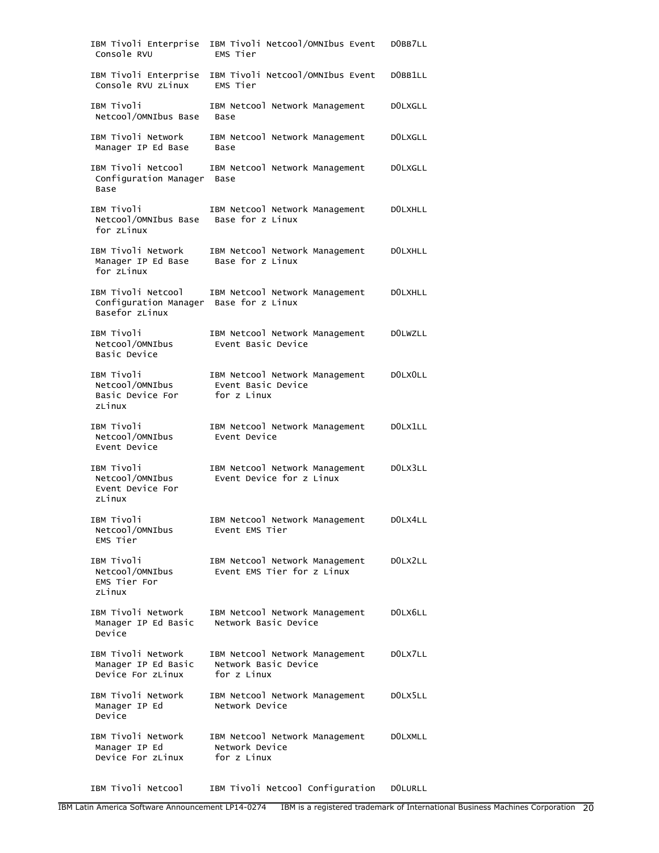| IBM Tivoli Enterprise<br>Console RVU                                           | IBM Tivoli Netcool/OMNIbus Event<br>EMS Tier                          | DOBB7LL        |
|--------------------------------------------------------------------------------|-----------------------------------------------------------------------|----------------|
| IBM Tivoli Enterprise<br>Console RVU zLinux                                    | IBM Tivoli Netcool/OMNIbus Event<br>EMS Tier                          | DOBB1LL        |
| IBM Tivoli<br>Netcool/OMNIbus Base                                             | IBM Netcool Network Management<br>Base                                | <b>DOLXGLL</b> |
| IBM Tivoli Network<br>Manager IP Ed Base                                       | IBM Netcool Network Management<br>Base                                | <b>DOLXGLL</b> |
| IBM Tivoli Netcool<br>Configuration Manager<br>Base                            | IBM Netcool Network Management<br>Base                                | <b>DOLXGLL</b> |
| IBM Tivoli<br>Netcool/OMNIbus Base<br>for zLinux                               | IBM Netcool Network Management<br>Base for z Linux                    | <b>DOLXHLL</b> |
| IBM Tivoli Network<br>Manager IP Ed Base<br>for zLinux                         | IBM Netcool Network Management<br>Base for z Linux                    | <b>DOLXHLL</b> |
| IBM Tivoli Netcool<br>Configuration Manager Base for z Linux<br>Basefor zLinux | IBM Netcool Network Management                                        | <b>DOLXHLL</b> |
| IBM Tivoli<br>Netcool/OMNIbus<br>Basic Device                                  | IBM Netcool Network Management<br>Event Basic Device                  | <b>DOLWZLL</b> |
| IBM Tivoli<br>Netcool/OMNIbus<br>Basic Device For<br>zLinux                    | IBM Netcool Network Management<br>Event Basic Device<br>for z Linux   | DOLXOLL        |
| IBM Tivoli<br>Netcool/OMNIbus<br>Event Device                                  | IBM Netcool Network Management<br>Event Device                        | DOLX1LL        |
| IBM Tivoli<br>Netcool/OMNIbus<br>Event Device For<br>zLinux                    | IBM Netcool Network Management<br>Event Device for z Linux            | DOLX3LL        |
| IBM Tivoli<br>Netcool/OMNIbus<br>EMS Tier                                      | IBM Netcool Network Management<br>Event EMS Tier                      | DOLX4LL        |
| IBM Tivoli<br>Netcool/OMNIbus<br>EMS Tier For<br>zLinux                        | IBM Netcool Network Management<br>Event EMS Tier for z Linux          | DOLX2LL        |
| IBM Tivoli Network<br>Manager IP Ed Basic<br>Device                            | IBM Netcool Network Management<br>Network Basic Device                | DOLX6LL        |
| IBM Tivoli Network<br>Manager IP Ed Basic<br>Device For zLinux                 | IBM Netcool Network Management<br>Network Basic Device<br>for z Linux | DOLX7LL        |
| IBM Tivoli Network<br>Manager IP Ed<br>Device                                  | IBM Netcool Network Management<br>Network Device                      | DOLX5LL        |
| IBM Tivoli Network<br>Manager IP Ed<br>Device For zLinux                       | IBM Netcool Network Management<br>Network Device<br>for z Linux       | <b>DOLXMLL</b> |

IBM Tivoli Netcool IBM Tivoli Netcool Configuration D0LURLL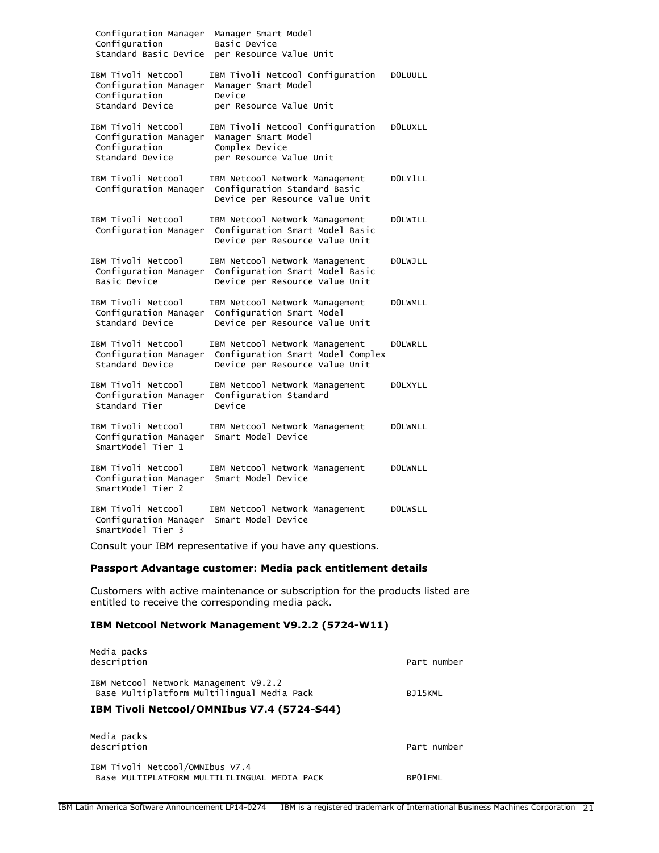| Configuration Manager<br>Configuration<br>Standard Basic Device                 | Manager Smart Model<br>Basic Device<br>per Resource Value Unit                                        |                |
|---------------------------------------------------------------------------------|-------------------------------------------------------------------------------------------------------|----------------|
| IBM Tivoli Netcool<br>Configuration Manager<br>Configuration<br>Standard Device | IBM Tivoli Netcool Configuration<br>Manager Smart Model<br>Device<br>per Resource Value Unit          | <b>DOLUULL</b> |
| IBM Tivoli Netcool<br>Configuration Manager<br>Configuration<br>Standard Device | IBM Tivoli Netcool Configuration<br>Manager Smart Model<br>Complex Device<br>per Resource Value Unit  | <b>DOLUXLL</b> |
| IBM Tivoli Netcool<br>Configuration Manager                                     | IBM Netcool Network Management<br>Configuration Standard Basic<br>Device per Resource Value Unit      | DOLY1LL        |
| IBM Tivoli Netcool<br>Configuration Manager                                     | IBM Netcool Network Management<br>Configuration Smart Model Basic<br>Device per Resource Value Unit   | <b>DOLWILL</b> |
| IBM Tivoli Netcool<br>Configuration Manager<br>Basic Device                     | IBM Netcool Network Management<br>Configuration Smart Model Basic<br>Device per Resource Value Unit   | <b>DOLWJLL</b> |
| IBM Tivoli Netcool<br>Configuration Manager<br>Standard Device                  | IBM Netcool Network Management<br>Configuration Smart Model<br>Device per Resource Value Unit         | <b>DOLWMLL</b> |
| IBM Tivoli Netcool<br>Configuration Manager<br>Standard Device                  | IBM Netcool Network Management<br>Configuration Smart Model Complex<br>Device per Resource Value Unit | <b>DOLWRLL</b> |
| IBM Tivoli Netcool<br>Configuration Manager<br>Standard Tier                    | IBM Netcool Network Management<br>Configuration Standard<br>Device                                    | <b>DOLXYLL</b> |
| IBM Tivoli Netcool<br>Configuration Manager<br>SmartModel Tier 1                | IBM Netcool Network Management<br>Smart Model Device                                                  | <b>DOLWNLL</b> |
| IBM Tivoli Netcool<br>Configuration Manager<br>SmartModel Tier 2                | IBM Netcool Network Management<br>Smart Model Device                                                  | <b>DOLWNLL</b> |
| IBM Tivoli Netcool<br>Configuration Manager<br>SmartModel Tier 3                | IBM Netcool Network Management<br>Smart Model Device                                                  | <b>DOLWSLL</b> |

Consult your IBM representative if you have any questions.

# **Passport Advantage customer: Media pack entitlement details**

Customers with active maintenance or subscription for the products listed are entitled to receive the corresponding media pack.

# **IBM Netcool Network Management V9.2.2 (5724-W11)**

| Media packs<br>description                                                          | Part number |
|-------------------------------------------------------------------------------------|-------------|
| IBM Netcool Network Management V9.2.2<br>Base Multiplatform Multilingual Media Pack | BJ15KML     |
| IBM Tivoli Netcool/OMNIbus V7.4 (5724-S44)                                          |             |
| Media packs<br>description                                                          | Part number |
| IBM Tivoli Netcool/OMNIbus V7.4<br>Base MULTIPLATFORM MULTILILINGUAL MEDIA PACK     | BP01FML     |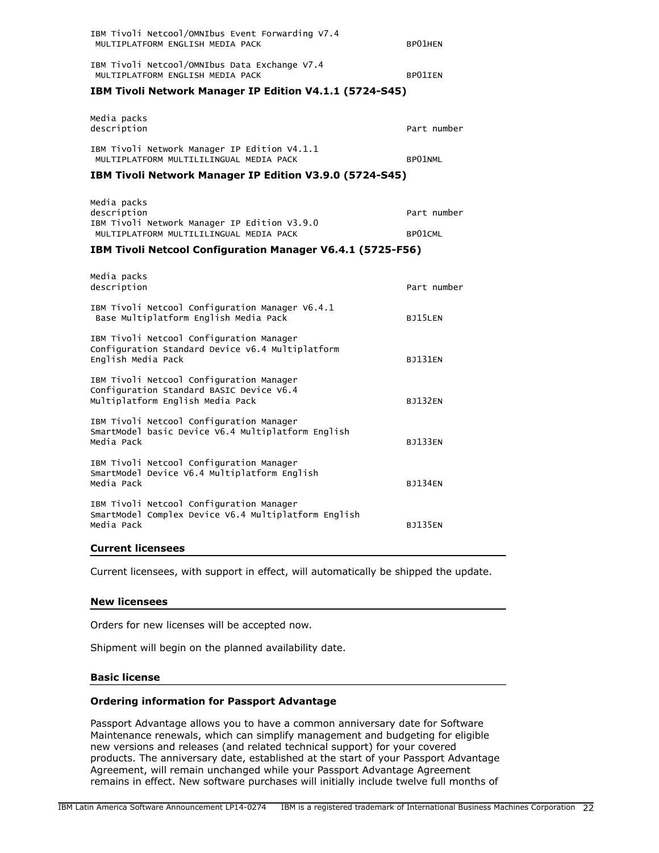| IBM Tivoli Netcool/OMNIbus Event Forwarding V7.4<br>MULTIPLATFORM ENGLISH MEDIA PACK    | BP01HEN     |  |
|-----------------------------------------------------------------------------------------|-------------|--|
| IBM Tivoli Netcool/OMNIbus Data Exchange V7.4<br>MULTIPLATFORM ENGLISH MEDIA PACK       | BP01IEN     |  |
| <b>IBM Tivoli Network Manager IP Edition V4.1.1 (5724-S45)</b>                          |             |  |
| Media packs<br>description                                                              | Part number |  |
| IBM Tivoli Network Manager IP Edition V4.1.1<br>MULTIPLATFORM MULTILILINGUAL MEDIA PACK | BP01NML     |  |
| <b>IBM Tivoli Network Manager IP Edition V3.9.0 (5724-S45)</b>                          |             |  |
| Media packs<br>description<br>IBM Tivoli Network Manager IP Edition V3.9.0              | Part number |  |
| MULTIPLATFORM MULTILILINGUAL MEDIA PACK                                                 | BP01CML     |  |
| <b>IBM Tivoli Netcool Configuration Manager V6.4.1 (5725-F56)</b>                       |             |  |
|                                                                                         |             |  |

| Media packs<br>description                                                                                               | Part number    |
|--------------------------------------------------------------------------------------------------------------------------|----------------|
| IBM Tivoli Netcool Configuration Manager V6.4.1<br>Base Multiplatform English Media Pack                                 | BJ15LEN        |
| IBM Tivoli Netcool Configuration Manager<br>Configuration Standard Device v6.4 Multiplatform<br>English Media Pack       | <b>B1131FN</b> |
| IBM Tivoli Netcool Configuration Manager<br>Configuration Standard BASIC Device V6.4<br>Multiplatform English Media Pack | <b>BJ132EN</b> |
| IBM Tivoli Netcool Configuration Manager<br>SmartModel basic Device V6.4 Multiplatform English<br>Media Pack             | <b>BJ133EN</b> |
| IBM Tivoli Netcool Configuration Manager<br>SmartModel Device V6.4 Multiplatform English<br>Media Pack                   | <b>B1134FN</b> |
| IBM Tivoli Netcool Configuration Manager<br>SmartModel Complex Device V6.4 Multiplatform English<br>Media Pack           | <b>BJ135EN</b> |

### **Current licensees**

Current licensees, with support in effect, will automatically be shipped the update.

### **New licensees**

Orders for new licenses will be accepted now.

Shipment will begin on the planned availability date.

### **Basic license**

### **Ordering information for Passport Advantage**

Passport Advantage allows you to have a common anniversary date for Software Maintenance renewals, which can simplify management and budgeting for eligible new versions and releases (and related technical support) for your covered products. The anniversary date, established at the start of your Passport Advantage Agreement, will remain unchanged while your Passport Advantage Agreement remains in effect. New software purchases will initially include twelve full months of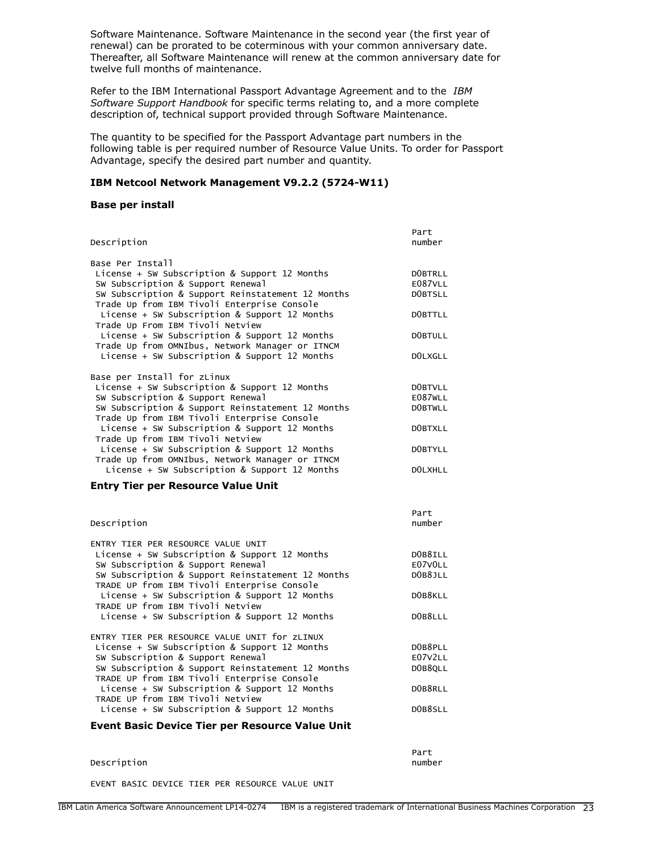Software Maintenance. Software Maintenance in the second year (the first year of renewal) can be prorated to be coterminous with your common anniversary date. Thereafter, all Software Maintenance will renew at the common anniversary date for twelve full months of maintenance.

Refer to the IBM International Passport Advantage Agreement and to the *IBM Software Support Handbook* for specific terms relating to, and a more complete description of, technical support provided through Software Maintenance.

The quantity to be specified for the Passport Advantage part numbers in the following table is per required number of Resource Value Units. To order for Passport Advantage, specify the desired part number and quantity.

### **IBM Netcool Network Management V9.2.2 (5724-W11)**

#### **Base per install**

| Description                                       | Part<br>number |
|---------------------------------------------------|----------------|
| Base Per Install                                  |                |
| License + SW Subscription & Support 12 Months     | DOBTRLL        |
| SW Subscription & Support Renewal                 | E087VLL        |
| SW Subscription & Support Reinstatement 12 Months | DOBTSLL        |
| Trade Up from IBM Tivoli Enterprise Console       |                |
| License + SW Subscription & Support 12 Months     | DOBTTLL        |
| Trade Up From IBM Tivoli Netview                  |                |
| License + SW Subscription & Support 12 Months     | <b>DOBTULL</b> |
| Trade Up from OMNIbus, Network Manager or ITNCM   |                |
| License + SW Subscription & Support 12 Months     | DOLXGLL        |
| Base per Install for zLinux                       |                |
| License + SW Subscription & Support 12 Months     | DOBTVLL        |
| SW Subscription & Support Renewal                 | E087WLL        |
| SW Subscription & Support Reinstatement 12 Months | <b>DOBTWLL</b> |
| Trade Up from IBM Tivoli Enterprise Console       |                |
| License + SW Subscription & Support 12 Months     | DOBTXLL        |
| Trade Up from IBM Tivoli Netview                  |                |
| License + SW Subscription & Support 12 Months     | DOBTYLL        |
| Trade Up from OMNIbus, Network Manager or ITNCM   |                |
| License + SW Subscription & Support 12 Months     | DOLXHLL        |

### **Entry Tier per Resource Value Unit**

| Description                                       | Part<br>number |
|---------------------------------------------------|----------------|
| ENTRY TIER PER RESOURCE VALUE UNIT                |                |
| License + SW Subscription & Support 12 Months     | DOB8ILL        |
| SW Subscription & Support Renewal                 | E07VOLL        |
| SW Subscription & Support Reinstatement 12 Months | DOB8JLL        |
| TRADE UP from IBM Tivoli Enterprise Console       |                |
| License + SW Subscription & Support 12 Months     | DOB8KLL        |
| TRADE UP from IBM Tivoli Netview                  |                |
| License + SW Subscription & Support 12 Months     | DOB8LLL        |
|                                                   |                |
| ENTRY TIER PER RESOURCE VALUE UNIT for ZLINUX     |                |
| License + SW Subscription & Support 12 Months     | DOB8PLL        |
| SW Subscription & Support Renewal                 | E07V2LL        |
| SW Subscription & Support Reinstatement 12 Months | DOB8QLL        |
| TRADE UP from IBM Tivoli Enterprise Console       |                |
| License + SW Subscription & Support 12 Months     | DOB8RLL        |
| TRADE UP from IBM Tivoli Netview                  |                |
| License + SW Subscription & Support 12 Months     | DOB8SLL        |
|                                                   |                |

### **Event Basic Device Tier per Resource Value Unit**

#### Description and the contract of the contract of the contract of the contract of the contract of the contract of the contract of the contract of the contract of the contract of the contract of the contract of the contract o

The Contract of Alberta Andrew Part 그 사이 Alberta Andrew Part

EVENT BASIC DEVICE TIER PER RESOURCE VALUE UNIT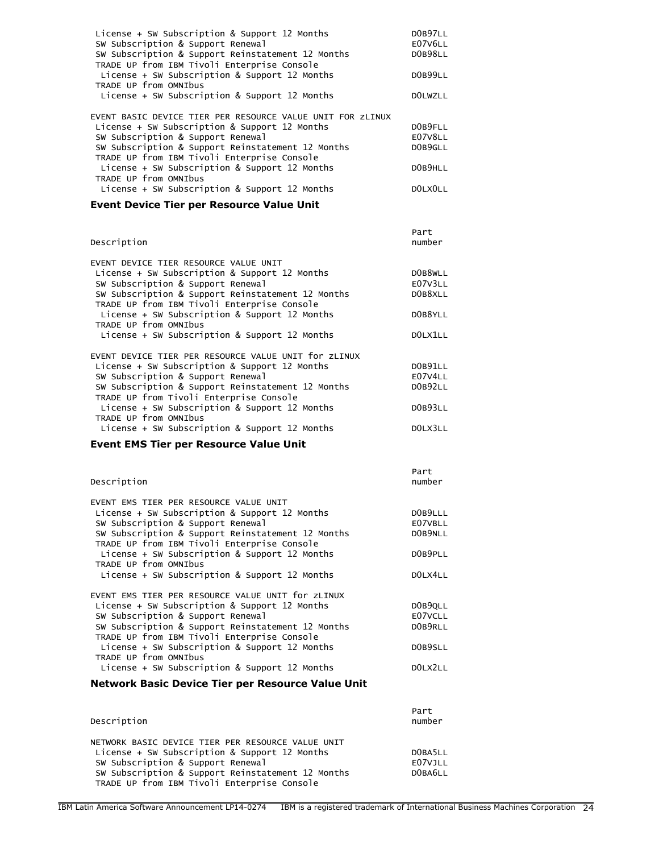| License + SW Subscription & Support 12 Months<br>SW Subscription & Support Renewal               | DOB97LL<br>E07V6LL |
|--------------------------------------------------------------------------------------------------|--------------------|
| SW Subscription & Support Reinstatement 12 Months<br>TRADE UP from IBM Tivoli Enterprise Console | DOB98LL            |
| License + SW Subscription & Support 12 Months<br>TRADE UP from OMNIbus                           | DOB99LL            |
| License + SW Subscription & Support 12 Months                                                    | <b>DOLWZLL</b>     |
| EVENT BASIC DEVICE TIER PER RESOURCE VALUE UNIT FOR ZLINUX                                       |                    |
| License + SW Subscription & Support 12 Months                                                    | DOB9FLL            |
| SW Subscription & Support Renewal                                                                | E07V8LL            |
| SW Subscription & Support Reinstatement 12 Months<br>TRADE UP from IBM Tivoli Enterprise Console | DOB9GLL            |
| License + SW Subscription & Support 12 Months<br>TRADE UP from OMNIbus                           | DOB9HLL            |
| License + SW Subscription & Support 12 Months                                                    | DOLXOLL            |

# **Event Device Tier per Resource Value Unit**

| Description                                          | Part<br>number |
|------------------------------------------------------|----------------|
| EVENT DEVICE TIER RESOURCE VALUE UNIT                |                |
| License + SW Subscription & Support 12 Months        | DOB8WLL        |
| SW Subscription & Support Renewal                    | E07V3LL        |
| SW Subscription & Support Reinstatement 12 Months    | DOB8XLL        |
| TRADE UP from IBM Tivoli Enterprise Console          |                |
| License + SW Subscription & Support 12 Months        | DOB8YLL        |
| TRADE UP from OMNIbus                                |                |
| License + SW Subscription & Support 12 Months        | DOLX1LL        |
| EVENT DEVICE TIER PER RESOURCE VALUE UNIT for ZLINUX |                |
|                                                      | DOB91LL        |
| License + SW Subscription & Support 12 Months        |                |
| SW Subscription & Support Renewal                    | E07V4LL        |
| SW Subscription & Support Reinstatement 12 Months    | DOB92LL        |
| TRADE UP from Tivoli Enterprise Console              |                |
| License + SW Subscription & Support 12 Months        | DOB93LL        |
| TRADE UP from OMNIbus                                |                |
| License $+$ SW Subscription & Support 12 Months      | DOLX3LL        |

# **Event EMS Tier per Resource Value Unit**

| Description                                                                                      | Part<br>number |
|--------------------------------------------------------------------------------------------------|----------------|
| EVENT EMS TIER PER RESOURCE VALUE UNIT                                                           |                |
| License + SW Subscription & Support 12 Months                                                    | DOB9LLL        |
| SW Subscription & Support Renewal                                                                | E07VBLL        |
| SW Subscription & Support Reinstatement 12 Months<br>TRADE UP from IBM Tivoli Enterprise Console | DOB9NLL        |
| License + SW Subscription & Support 12 Months<br>TRADE UP from OMNIbus                           | DOB9PLL        |
| License + SW Subscription & Support 12 Months                                                    | DOLX4LL        |
| EVENT EMS TIER PER RESOURCE VALUE UNIT for ZLINUX                                                |                |
| License + SW Subscription & Support 12 Months                                                    | DOB9QLL        |
| SW Subscription & Support Renewal                                                                | E07VCLL        |
| SW Subscription & Support Reinstatement 12 Months<br>TRADE UP from IBM Tivoli Enterprise Console | DOB9RLL        |
| License + SW Subscription & Support 12 Months<br>TRADE UP from OMNIbus                           | DOB9SLL        |
| License + SW Subscription & Support 12 Months                                                    | DOLX2LL        |

# **Network Basic Device Tier per Resource Value Unit**

| Description                                                                                                                                                                                                                                 | Part<br>number                |
|---------------------------------------------------------------------------------------------------------------------------------------------------------------------------------------------------------------------------------------------|-------------------------------|
| NETWORK BASIC DEVICE TIER PER RESOURCE VALUE UNIT<br>License + SW Subscription & Support 12 Months<br>SW Subscription & Support Renewal<br>SW Subscription & Support Reinstatement 12 Months<br>TRADE UP from IBM Tivoli Enterprise Console | DOBA5LL<br>E07VJLL<br>DOBA6LL |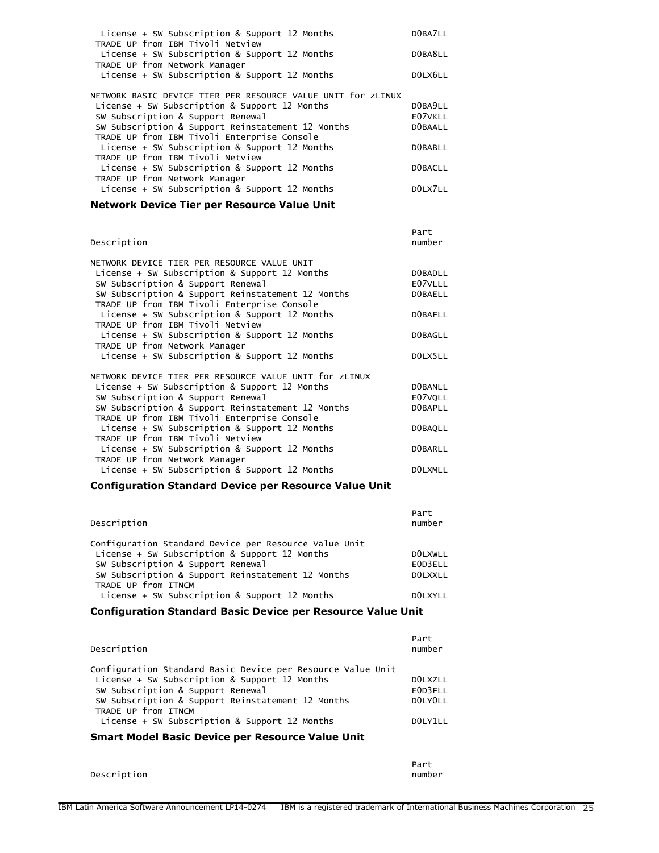| License + SW Subscription & Support 12 Months<br>TRADE UP from IBM Tivoli Netview | DOBA7LL |
|-----------------------------------------------------------------------------------|---------|
| License + SW Subscription & Support 12 Months                                     | DOBA8LL |
| TRADE UP from Network Manager<br>License + SW Subscription & Support 12 Months    | DOLX6LL |
| NETWORK BASIC DEVICE TIER PER RESOURCE VALUE UNIT for ZLINUX                      |         |
| License + SW Subscription & Support 12 Months                                     | DOBA9LL |
| SW Subscription & Support Renewal                                                 | E07VKLL |
| SW Subscription & Support Reinstatement 12 Months                                 | DOBAALL |
| TRADE UP from IBM Tivoli Enterprise Console                                       |         |
| License + SW Subscription & Support 12 Months                                     | DOBABLL |
| TRADE UP from IBM Tivoli Netview                                                  |         |
| License + SW Subscription & Support 12 Months                                     | DOBACLL |
| TRADE UP from Network Manager                                                     |         |
| License + SW Subscription & Support 12 Months                                     | DOLX711 |
|                                                                                   |         |

# **Network Device Tier per Resource Value Unit**

| Description                                            | Part<br>number |
|--------------------------------------------------------|----------------|
| NETWORK DEVICE TIER PER RESOURCE VALUE UNIT            |                |
| License + SW Subscription & Support 12 Months          | DOBADLL        |
| SW Subscription & Support Renewal                      | E07VLLL        |
| SW Subscription & Support Reinstatement 12 Months      | <b>DOBAELL</b> |
| TRADE UP from IBM Tivoli Enterprise Console            |                |
| License + SW Subscription & Support 12 Months          | DOBAFLL        |
| TRADE UP from IBM Tivoli Netview                       |                |
| License + SW Subscription & Support 12 Months          | <b>DOBAGLL</b> |
| TRADE UP from Network Manager                          |                |
| License + SW Subscription & Support 12 Months          | DOLX5LL        |
|                                                        |                |
| NETWORK DEVICE TIER PER RESOURCE VALUE UNIT for ZLINUX |                |
| License + SW Subscription & Support 12 Months          | <b>DOBANLL</b> |
| SW Subscription & Support Renewal                      | E07VQLL        |
| SW Subscription & Support Reinstatement 12 Months      | DOBAPLL        |
| TRADE UP from IBM Tivoli Enterprise Console            |                |
| License + SW Subscription & Support 12 Months          | DOBAQLL        |
| TRADE UP from IBM Tivoli Netview                       |                |
| License + SW Subscription & Support 12 Months          | <b>DOBARLL</b> |
| TRADE UP from Network Manager                          |                |
| License + SW Subscription & Support 12 Months          | <b>DOLXMLL</b> |

# **Configuration Standard Device per Resource Value Unit**

| Description                                           | Part<br>number |
|-------------------------------------------------------|----------------|
| Configuration Standard Device per Resource Value Unit |                |
| License + SW Subscription & Support 12 Months         | <b>DOLXWLL</b> |
| SW Subscription & Support Renewal                     | EOD3ELL        |
| SW Subscription & Support Reinstatement 12 Months     | DOLXXLL        |
| TRADE UP from ITNCM                                   |                |
| License + SW Subscription & Support 12 Months         | DOLXYLL        |

# **Configuration Standard Basic Device per Resource Value Unit**

| Description                                                                                                                                                                                                                                                                    | Part<br>number                           |
|--------------------------------------------------------------------------------------------------------------------------------------------------------------------------------------------------------------------------------------------------------------------------------|------------------------------------------|
| Configuration Standard Basic Device per Resource Value Unit<br>License + SW Subscription & Support 12 Months<br>SW Subscription & Support Renewal<br>SW Subscription & Support Reinstatement 12 Months<br>TRADE UP from ITNCM<br>License + SW Subscription & Support 12 Months | DOLXZLL<br>EOD3FLL<br>DOLYOLL<br>001Y111 |

# **Smart Model Basic Device per Resource Value Unit**

|             | Part   |
|-------------|--------|
| Description | number |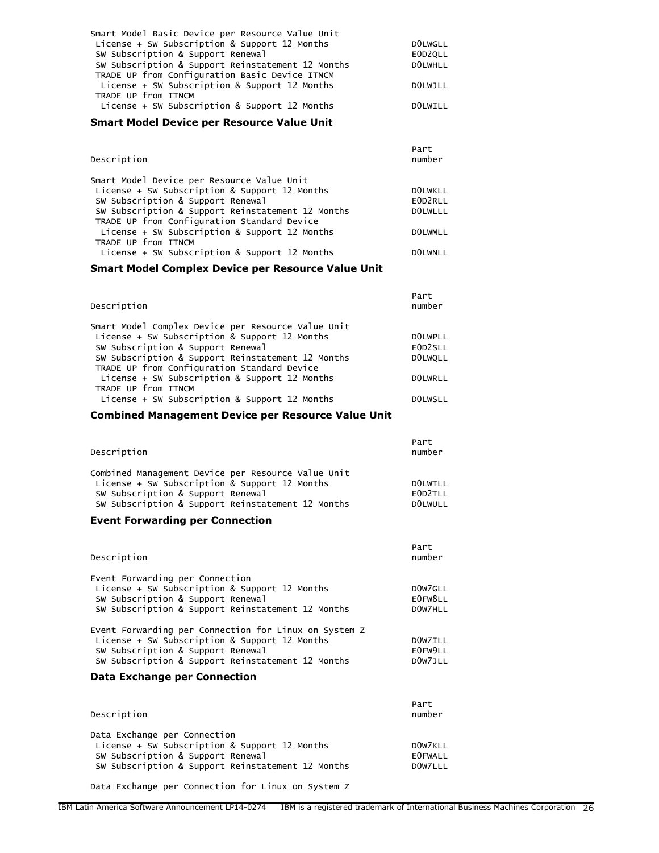| Smart Model Basic Device per Resource Value Unit  |                |
|---------------------------------------------------|----------------|
| License + SW Subscription & Support 12 Months     | <b>DOLWGLL</b> |
| SW Subscription & Support Renewal                 | EOD2OLL        |
| SW Subscription & Support Reinstatement 12 Months | <b>DOLWHLL</b> |
| TRADE UP from Configuration Basic Device ITNCM    |                |
| License + SW Subscription & Support 12 Months     | DOLWJLL        |
| TRADE UP from ITNCM                               |                |
| License + SW Subscription & Support 12 Months     | DOLWILL        |
|                                                   |                |

#### **Smart Model Device per Resource Value Unit**

| Description                                       | Part<br>number |
|---------------------------------------------------|----------------|
| Smart Model Device per Resource Value Unit        |                |
| License + SW Subscription & Support 12 Months     | <b>DOLWKLL</b> |
| SW Subscription & Support Renewal                 | EOD2RLL        |
| SW Subscription & Support Reinstatement 12 Months | <b>DOLWLLL</b> |
| TRADE UP from Configuration Standard Device       |                |
| License + SW Subscription & Support 12 Months     | <b>DOLWMLL</b> |
| TRADE UP from ITNCM                               |                |
| License + SW Subscription & Support 12 Months     | <b>DOLWNLL</b> |

### **Smart Model Complex Device per Resource Value Unit**

| Description                                        | Part<br>number |
|----------------------------------------------------|----------------|
| Smart Model Complex Device per Resource Value Unit |                |
| License + SW Subscription & Support 12 Months      | <b>DOLWPLL</b> |
| SW Subscription & Support Renewal                  | EOD2SLL        |
| SW Subscription & Support Reinstatement 12 Months  | <b>DOLWOLL</b> |
| TRADE UP from Configuration Standard Device        |                |
| License + SW Subscription & Support 12 Months      | <b>DOLWRLL</b> |
| TRADE UP from ITNCM                                |                |
| License + SW Subscription & Support 12 Months      | <b>DOLWSLL</b> |

### **Combined Management Device per Resource Value Unit**

| Description                                        | Part<br>number |
|----------------------------------------------------|----------------|
| Combined Management Device per Resource Value Unit |                |
| License + SW Subscription & Support 12 Months      | <b>DOLWTLL</b> |
| SW Subscription & Support Renewal                  | EOD2TLL        |
| SW Subscription & Support Reinstatement 12 Months  | <b>DOLWULL</b> |

#### **Event Forwarding per Connection**

| Description                                                                                                                                                                                      | Part<br>number                                         |
|--------------------------------------------------------------------------------------------------------------------------------------------------------------------------------------------------|--------------------------------------------------------|
| Event Forwarding per Connection<br>License + SW Subscription & Support 12 Months<br>SW Subscription & Support Renewal<br>SW Subscription & Support Reinstatement 12 Months                       | D <sub>0</sub> W <sub>7GLL</sub><br>E0FW8LL<br>DOW7HLL |
| Event Forwarding per Connection for Linux on System Z<br>License + SW Subscription & Support 12 Months<br>SW Subscription & Support Renewal<br>SW Subscription & Support Reinstatement 12 Months | DOW7ILL<br>E0FW9LL<br>DOW7JLL                          |
| Data Exchange per Connection                                                                                                                                                                     |                                                        |
| Description                                                                                                                                                                                      | Part<br>number                                         |

| Data Exchange per Connection<br>License + SW Subscription & Support 12 Months<br>SW Subscription & Support Renewal<br>SW Subscription & Support Reinstatement 12 Months | DOW7KLL<br><b>EOFWALL</b><br>DOW7LLL |
|-------------------------------------------------------------------------------------------------------------------------------------------------------------------------|--------------------------------------|
|                                                                                                                                                                         |                                      |

Data Exchange per Connection for Linux on System Z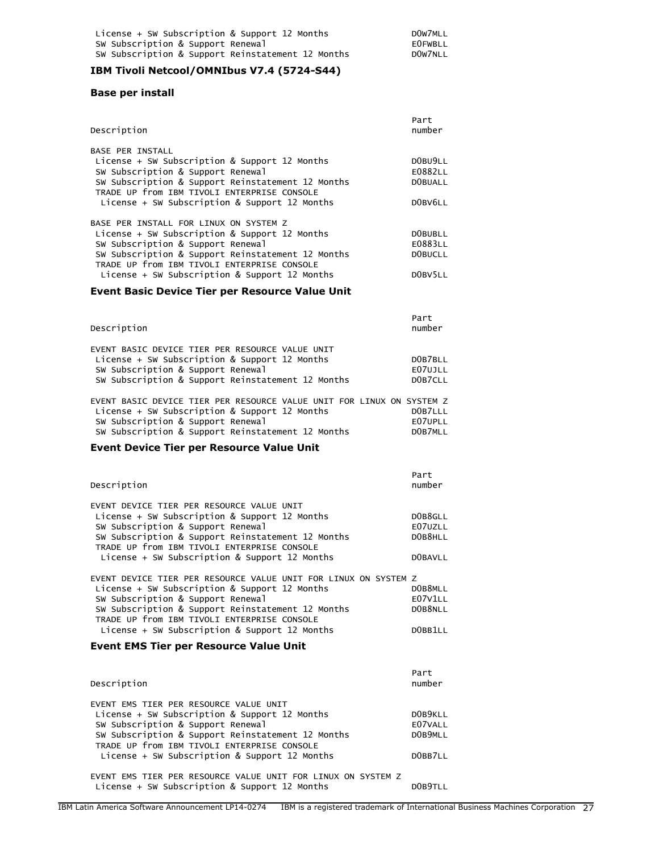### **IBM Tivoli Netcool/OMNIbus V7.4 (5724-S44)**

#### **Base per install**

| Description                                       | Part<br>number |
|---------------------------------------------------|----------------|
| <b>BASE PER INSTALL</b>                           |                |
| License + SW Subscription & Support 12 Months     | DOBU9LL        |
| SW Subscription & Support Renewal                 | E0882LL        |
| SW Subscription & Support Reinstatement 12 Months | <b>DOBUALL</b> |
| TRADE UP from IBM TIVOLI ENTERPRISE CONSOLE       |                |
| License + SW Subscription & Support 12 Months     | DOBV6LL        |
| BASE PER INSTALL FOR LINUX ON SYSTEM Z            |                |
| License + SW Subscription & Support 12 Months     | DOBUBLL        |
| SW Subscription & Support Renewal                 | E0883LL        |
| SW Subscription & Support Reinstatement 12 Months | DOBUCLL        |
| TRADE UP from IBM TIVOLI ENTERPRISE CONSOLE       |                |
| License + SW Subscription & Support 12 Months     | DOBV5LL        |
|                                                   |                |

### **Event Basic Device Tier per Resource Value Unit**

| Description                                                                                                                                                                                | Part<br>number                |
|--------------------------------------------------------------------------------------------------------------------------------------------------------------------------------------------|-------------------------------|
| EVENT BASIC DEVICE TIER PER RESOURCE VALUE UNIT<br>License + SW Subscription & Support 12 Months<br>SW Subscription & Support Renewal<br>SW Subscription & Support Reinstatement 12 Months | DOB7BLL<br>E07UJLL<br>DOB7CLL |

| EVENT BASIC DEVICE TIER PER RESOURCE VALUE UNIT FOR LINUX ON SYSTEM Z |         |
|-----------------------------------------------------------------------|---------|
| License + SW Subscription & Support 12 Months                         | DOB7LLL |
| SW Subscription & Support Renewal                                     | E07UPLL |
| SW Subscription & Support Reinstatement 12 Months                     | DOB7MLL |

#### **Event Device Tier per Resource Value Unit**

| Description                                                                                                                                                                                                                                               | Part<br>number                |
|-----------------------------------------------------------------------------------------------------------------------------------------------------------------------------------------------------------------------------------------------------------|-------------------------------|
| EVENT DEVICE TIER PER RESOURCE VALUE UNIT<br>License + SW Subscription & Support 12 Months<br>SW Subscription & Support Renewal<br>SW Subscription & Support Reinstatement 12 Months<br>TRADE UP from IBM TIVOLI ENTERPRISE CONSOLE                       | DOB8GLL<br>E07UZLL<br>DOB8HLL |
| License + SW Subscription & Support 12 Months                                                                                                                                                                                                             | <b>DOBAVLL</b>                |
| EVENT DEVICE TIER PER RESOURCE VALUE UNIT FOR LINUX ON SYSTEM Z<br>License + SW Subscription & Support 12 Months<br>SW Subscription & Support Renewal<br>SW Subscription & Support Reinstatement 12 Months<br>TRADE UP from IBM TIVOLI ENTERPRISE CONSOLE | DOB8MLL<br>E07V1LL<br>DOB8NLL |

# License + SW Subscription & Support 12 Months D0BB1LL

### **Event EMS Tier per Resource Value Unit**

| Description                                       | Part<br>number |
|---------------------------------------------------|----------------|
| EVENT EMS TIER PER RESOURCE VALUE UNIT            |                |
| License + SW Subscription & Support 12 Months     | DOB9KLL        |
| SW Subscription & Support Renewal                 | E07VALL        |
| SW Subscription & Support Reinstatement 12 Months | DOB9MLL        |
| TRADE UP from IBM TIVOLI ENTERPRISE CONSOLE       |                |
| License + SW Subscription & Support 12 Months     | DOBB7LL        |
|                                                   |                |

EVENT EMS TIER PER RESOURCE VALUE UNIT FOR LINUX ON SYSTEM Z License + SW Subscription & Support 12 Months DOB9TLL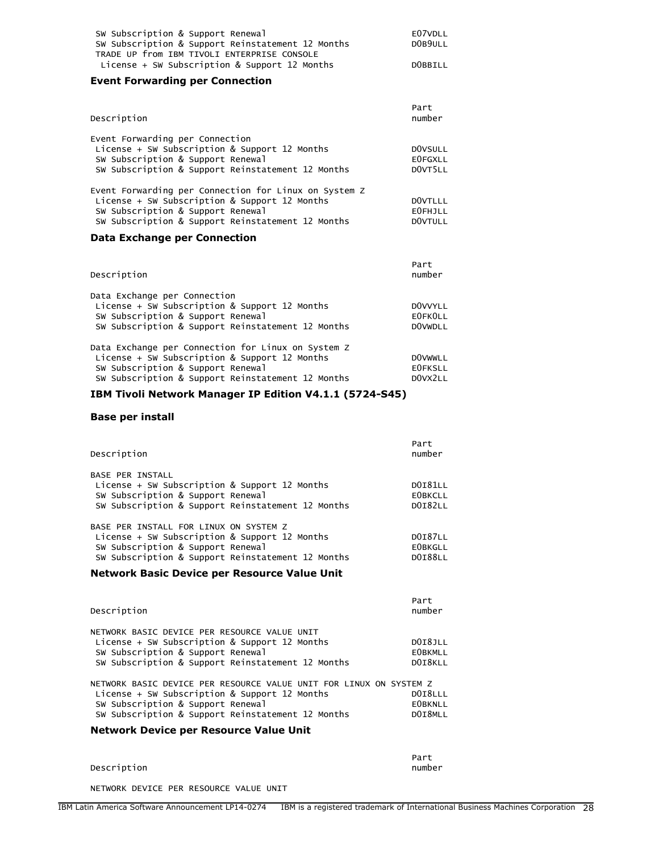| E07VDLL |
|---------|
| DOB9ULL |
|         |
| DOBBILL |
|         |

# **Event Forwarding per Connection**

| Description                                                                                                                                                                | Part<br>number                              |
|----------------------------------------------------------------------------------------------------------------------------------------------------------------------------|---------------------------------------------|
| Event Forwarding per Connection<br>License + SW Subscription & Support 12 Months<br>SW Subscription & Support Renewal<br>SW Subscription & Support Reinstatement 12 Months | <b>DOVSULL</b><br><b>EOFGXLL</b><br>DOVT5LL |
| Event Forwarding per Connection for Linux on System Z<br>License + SW Subscription & Support 12 Months                                                                     | DOVTLLL                                     |
| SW Subscription & Support Renewal<br>SW Subscription & Support Reinstatement 12 Months                                                                                     | <b>EOFHJLL</b><br>DOVTULL                   |
| Data Eyahanga nay Cannactian                                                                                                                                               |                                             |

#### **Data Exchange per Connection**

| Description                                                                                                                                                                                   | Part<br>number                              |
|-----------------------------------------------------------------------------------------------------------------------------------------------------------------------------------------------|---------------------------------------------|
| Data Exchange per Connection<br>License + SW Subscription & Support 12 Months<br>SW Subscription & Support Renewal<br>SW Subscription & Support Reinstatement 12 Months                       | DOVVYLL<br><b>EOFKOLL</b><br><b>DOVWDLL</b> |
| Data Exchange per Connection for Linux on System Z<br>License + SW Subscription & Support 12 Months<br>SW Subscription & Support Renewal<br>SW Subscription & Support Reinstatement 12 Months | <b>DOVWWLL</b><br><b>EOFKSLL</b><br>DOVX2LL |

# **IBM Tivoli Network Manager IP Edition V4.1.1 (5724-S45)**

### **Base per install**

| Description                                                                                                                                                                       | Part<br>number                                     |
|-----------------------------------------------------------------------------------------------------------------------------------------------------------------------------------|----------------------------------------------------|
| <b>BASE PER INSTALL</b><br>License + SW Subscription & Support 12 Months<br>SW Subscription & Support Renewal<br>SW Subscription & Support Reinstatement 12 Months                | <b>DOI81LL</b><br><b>EOBKCLL</b><br><b>DOI82LL</b> |
| BASE PER INSTALL FOR LINUX ON SYSTEM Z<br>License + SW Subscription & Support 12 Months<br>SW Subscription & Support Renewal<br>SW Subscription & Support Reinstatement 12 Months | <b>DOI87LL</b><br><b>EOBKGLL</b><br><b>DOI88LL</b> |

### **Network Basic Device per Resource Value Unit**

| Description                                                                                                                                                                             | Part<br>number                       |
|-----------------------------------------------------------------------------------------------------------------------------------------------------------------------------------------|--------------------------------------|
| NETWORK BASIC DEVICE PER RESOURCE VALUE UNIT<br>License + SW Subscription & Support 12 Months<br>SW Subscription & Support Renewal<br>SW Subscription & Support Reinstatement 12 Months | DOI8JLL<br><b>EOBKMLL</b><br>DOI8KLL |
| NETWORK BASIC DEVICE PER RESOURCE VALUE UNIT FOR LINUX ON SYSTEM Z<br>License + SW Subscription & Support 12 Months                                                                     | DOI8LLL                              |

| SW Subscription & Support Renewal                 |  |  | <b>EOBKNLL</b> |
|---------------------------------------------------|--|--|----------------|
| SW Subscription & Support Reinstatement 12 Months |  |  | DOI8MLL        |

# **Network Device per Resource Value Unit**

|             | Part   |
|-------------|--------|
| Description | number |

NETWORK DEVICE PER RESOURCE VALUE UNIT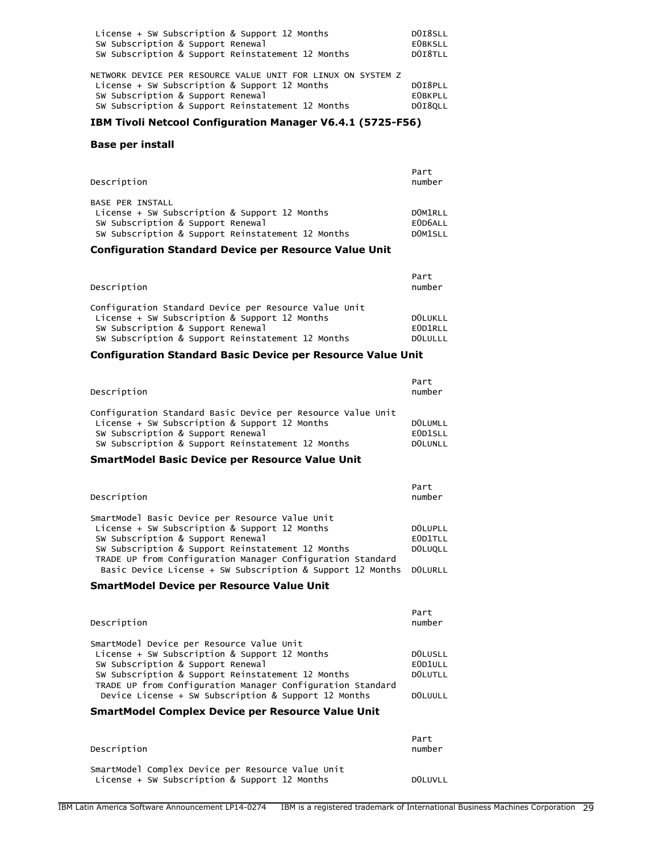| SW Subscription & Support Renewal<br>SW Subscription & Support Reinstatement 12 Months<br>NETWORK DEVICE PER RESOURCE VALUE UNIT FOR LINUX ON SYSTEM Z<br>License + SW Subscription & Support 12 Months<br>SW Subscription & Support Renewal<br>SW Subscription & Support Reinstatement 12 Months | License + SW Subscription & Support 12 Months | DOI8SLL        |
|---------------------------------------------------------------------------------------------------------------------------------------------------------------------------------------------------------------------------------------------------------------------------------------------------|-----------------------------------------------|----------------|
|                                                                                                                                                                                                                                                                                                   |                                               | <b>EOBKSLL</b> |
|                                                                                                                                                                                                                                                                                                   |                                               | DOI8TLL        |
|                                                                                                                                                                                                                                                                                                   |                                               |                |
|                                                                                                                                                                                                                                                                                                   |                                               |                |
|                                                                                                                                                                                                                                                                                                   |                                               | DOI8PLL        |
|                                                                                                                                                                                                                                                                                                   |                                               | <b>EOBKPLL</b> |
|                                                                                                                                                                                                                                                                                                   |                                               | DOI8OLL        |

### **IBM Tivoli Netcool Configuration Manager V6.4.1 (5725-F56)**

### **Base per install**

| Description                                                                                                                                                        | Part<br>number                                          |
|--------------------------------------------------------------------------------------------------------------------------------------------------------------------|---------------------------------------------------------|
| <b>BASE PER INSTALL</b><br>License + SW Subscription & Support 12 Months<br>SW Subscription & Support Renewal<br>SW Subscription & Support Reinstatement 12 Months | DOM <sub>1</sub> RLL<br>E0D6ALL<br>DOM <sub>1</sub> SLL |

# **Configuration Standard Device per Resource Value Unit**

| Description                                                                                                                                                                                      | Part<br>number                              |
|--------------------------------------------------------------------------------------------------------------------------------------------------------------------------------------------------|---------------------------------------------|
| Configuration Standard Device per Resource Value Unit<br>License + SW Subscription & Support 12 Months<br>SW Subscription & Support Renewal<br>SW Subscription & Support Reinstatement 12 Months | <b>DOLUKLL</b><br>EOD1RLL<br><b>DOLULLL</b> |

# **Configuration Standard Basic Device per Resource Value Unit**

| Description                                                 | Part<br>number       |
|-------------------------------------------------------------|----------------------|
| Configuration Standard Basic Device per Resource Value Unit |                      |
| License + SW Subscription & Support 12 Months               | <b>DOLUMLL</b>       |
| SW Subscription & Support Renewal                           | EOD <sub>1</sub> SLL |
| SW Subscription & Support Reinstatement 12 Months           | <b>DOLUNLL</b>       |

### **SmartModel Basic Device per Resource Value Unit**

| Description                                                                                                                                                                                                                                              | Part<br>number                |
|----------------------------------------------------------------------------------------------------------------------------------------------------------------------------------------------------------------------------------------------------------|-------------------------------|
| SmartModel Basic Device per Resource Value Unit<br>License + SW Subscription & Support 12 Months<br>SW Subscription & Support Renewal<br>SW Subscription & Support Reinstatement 12 Months<br>TRADE UP from Configuration Manager Configuration Standard | DOLUPLL<br>EOD1TLL<br>DOLUOLL |
| Basic Device License + SW Subscription & Support 12 Months DOLURLL                                                                                                                                                                                       |                               |

### **SmartModel Device per Resource Value Unit**

| Description                                                                                                                                                                                                                                                                                                | Part<br>number                           |
|------------------------------------------------------------------------------------------------------------------------------------------------------------------------------------------------------------------------------------------------------------------------------------------------------------|------------------------------------------|
| SmartModel Device per Resource Value Unit<br>License + SW Subscription & Support 12 Months<br>SW Subscription & Support Renewal<br>SW Subscription & Support Reinstatement 12 Months<br>TRADE UP from Configuration Manager Configuration Standard<br>Device License + SW Subscription & Support 12 Months | DOLUSLL<br>EOD1ULL<br>DOLUTLL<br>DOLUULL |

# **SmartModel Complex Device per Resource Value Unit**

| Description                                                                                        | Part<br>number |
|----------------------------------------------------------------------------------------------------|----------------|
| SmartModel Complex Device per Resource Value Unit<br>License + SW Subscription & Support 12 Months | DOLUVLL        |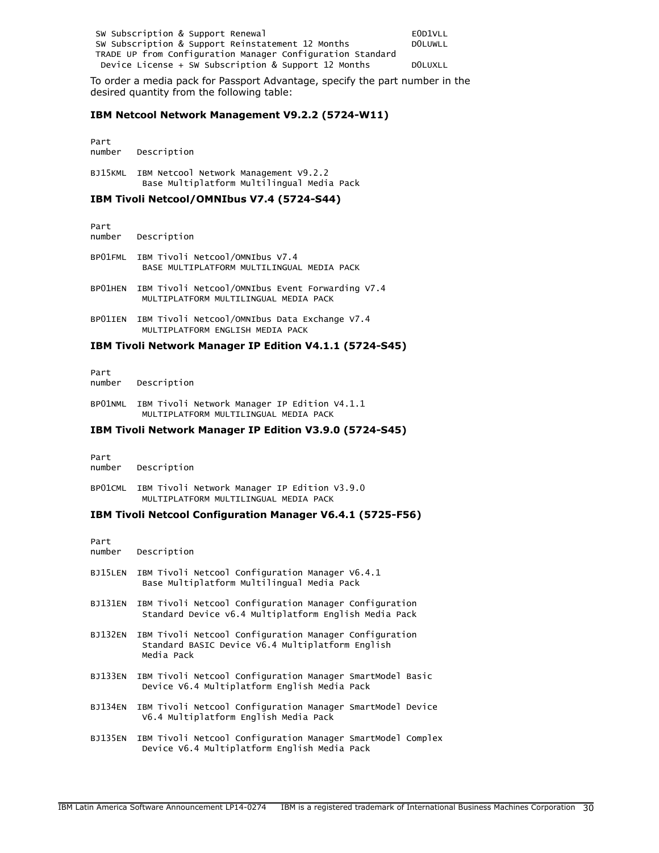| SW Subscription & Support Renewal                          | EOD1VLL        |
|------------------------------------------------------------|----------------|
| SW Subscription & Support Reinstatement 12 Months          | <b>DOLUWLL</b> |
| TRADE UP from Configuration Manager Configuration Standard |                |
| Device License + SW Subscription & Support 12 Months       | <b>DOLUXLL</b> |

To order a media pack for Passport Advantage, specify the part number in the desired quantity from the following table:

#### **IBM Netcool Network Management V9.2.2 (5724-W11)**

Part number Description

BJ15KML IBM Netcool Network Management V9.2.2 Base Multiplatform Multilingual Media Pack

### **IBM Tivoli Netcool/OMNIbus V7.4 (5724-S44)**

Part Description

BP01FML IBM Tivoli Netcool/OMNIbus V7.4 BASE MULTIPLATFORM MULTILINGUAL MEDIA PACK

BP01HEN IBM Tivoli Netcool/OMNIbus Event Forwarding V7.4 MULTIPLATFORM MULTILINGUAL MEDIA PACK

BP01IEN IBM Tivoli Netcool/OMNIbus Data Exchange V7.4 MULTIPLATFORM ENGLISH MEDIA PACK

#### **IBM Tivoli Network Manager IP Edition V4.1.1 (5724-S45)**

Part number Description

BP01NML IBM Tivoli Network Manager IP Edition V4.1.1 MULTIPLATFORM MULTILINGUAL MEDIA PACK

#### **IBM Tivoli Network Manager IP Edition V3.9.0 (5724-S45)**

Part number Description

BP01CML IBM Tivoli Network Manager IP Edition V3.9.0 MULTIPLATFORM MULTILINGUAL MEDIA PACK

#### **IBM Tivoli Netcool Configuration Manager V6.4.1 (5725-F56)**

Part number Description BJ15LEN IBM Tivoli Netcool Configuration Manager V6.4.1 Base Multiplatform Multilingual Media Pack BJ131EN IBM Tivoli Netcool Configuration Manager Configuration Standard Device v6.4 Multiplatform English Media Pack BJ132EN IBM Tivoli Netcool Configuration Manager Configuration Standard BASIC Device V6.4 Multiplatform English Media Pack BJ133EN IBM Tivoli Netcool Configuration Manager SmartModel Basic Device V6.4 Multiplatform English Media Pack BJ134EN IBM Tivoli Netcool Configuration Manager SmartModel Device V6.4 Multiplatform English Media Pack BJ135EN IBM Tivoli Netcool Configuration Manager SmartModel Complex Device V6.4 Multiplatform English Media Pack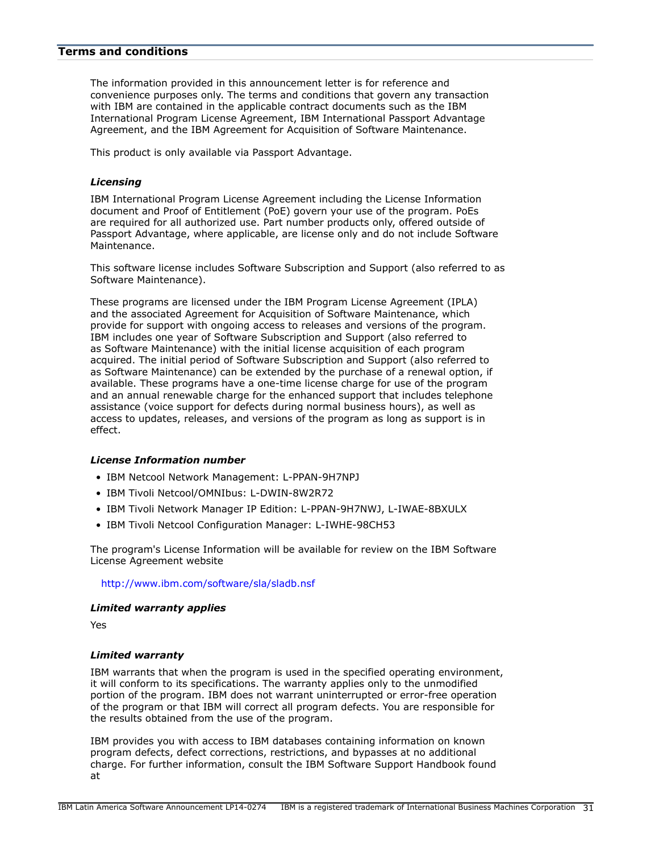### <span id="page-30-0"></span>**Terms and conditions**

The information provided in this announcement letter is for reference and convenience purposes only. The terms and conditions that govern any transaction with IBM are contained in the applicable contract documents such as the IBM International Program License Agreement, IBM International Passport Advantage Agreement, and the IBM Agreement for Acquisition of Software Maintenance.

This product is only available via Passport Advantage.

#### *Licensing*

IBM International Program License Agreement including the License Information document and Proof of Entitlement (PoE) govern your use of the program. PoEs are required for all authorized use. Part number products only, offered outside of Passport Advantage, where applicable, are license only and do not include Software Maintenance.

This software license includes Software Subscription and Support (also referred to as Software Maintenance).

These programs are licensed under the IBM Program License Agreement (IPLA) and the associated Agreement for Acquisition of Software Maintenance, which provide for support with ongoing access to releases and versions of the program. IBM includes one year of Software Subscription and Support (also referred to as Software Maintenance) with the initial license acquisition of each program acquired. The initial period of Software Subscription and Support (also referred to as Software Maintenance) can be extended by the purchase of a renewal option, if available. These programs have a one-time license charge for use of the program and an annual renewable charge for the enhanced support that includes telephone assistance (voice support for defects during normal business hours), as well as access to updates, releases, and versions of the program as long as support is in effect.

#### *License Information number*

- IBM Netcool Network Management: L-PPAN-9H7NPJ
- IBM Tivoli Netcool/OMNIbus: L-DWIN-8W2R72
- IBM Tivoli Network Manager IP Edition: L-PPAN-9H7NWJ, L-IWAE-8BXULX
- IBM Tivoli Netcool Configuration Manager: L-IWHE-98CH53

The program's License Information will be available for review on the IBM Software License Agreement website

<http://www.ibm.com/software/sla/sladb.nsf>

#### *Limited warranty applies*

Yes

#### *Limited warranty*

IBM warrants that when the program is used in the specified operating environment, it will conform to its specifications. The warranty applies only to the unmodified portion of the program. IBM does not warrant uninterrupted or error-free operation of the program or that IBM will correct all program defects. You are responsible for the results obtained from the use of the program.

IBM provides you with access to IBM databases containing information on known program defects, defect corrections, restrictions, and bypasses at no additional charge. For further information, consult the IBM Software Support Handbook found at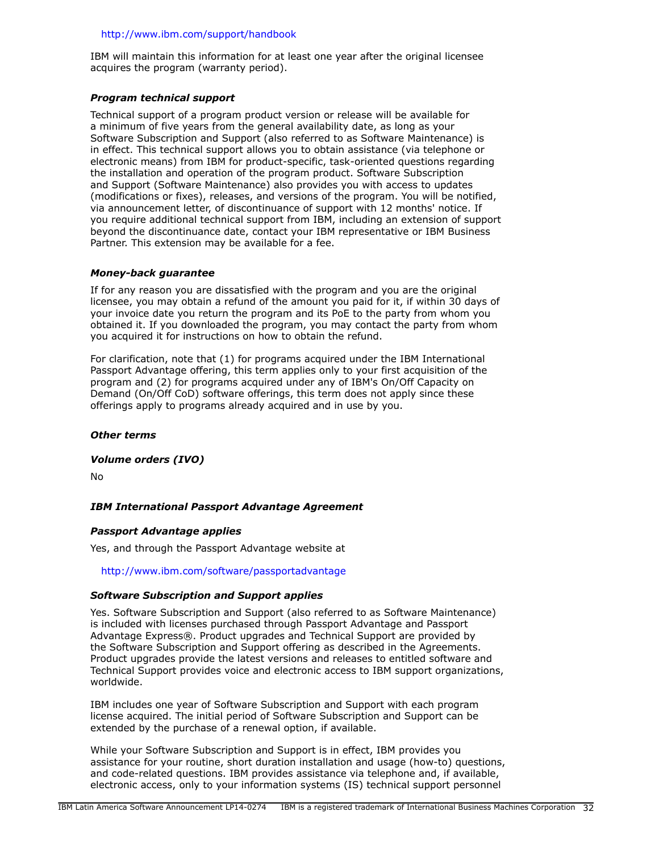### <http://www.ibm.com/support/handbook>

IBM will maintain this information for at least one year after the original licensee acquires the program (warranty period).

# *Program technical support*

Technical support of a program product version or release will be available for a minimum of five years from the general availability date, as long as your Software Subscription and Support (also referred to as Software Maintenance) is in effect. This technical support allows you to obtain assistance (via telephone or electronic means) from IBM for product-specific, task-oriented questions regarding the installation and operation of the program product. Software Subscription and Support (Software Maintenance) also provides you with access to updates (modifications or fixes), releases, and versions of the program. You will be notified, via announcement letter, of discontinuance of support with 12 months' notice. If you require additional technical support from IBM, including an extension of support beyond the discontinuance date, contact your IBM representative or IBM Business Partner. This extension may be available for a fee.

### *Money-back guarantee*

If for any reason you are dissatisfied with the program and you are the original licensee, you may obtain a refund of the amount you paid for it, if within 30 days of your invoice date you return the program and its PoE to the party from whom you obtained it. If you downloaded the program, you may contact the party from whom you acquired it for instructions on how to obtain the refund.

For clarification, note that (1) for programs acquired under the IBM International Passport Advantage offering, this term applies only to your first acquisition of the program and (2) for programs acquired under any of IBM's On/Off Capacity on Demand (On/Off CoD) software offerings, this term does not apply since these offerings apply to programs already acquired and in use by you.

### *Other terms*

### *Volume orders (IVO)*

No

# *IBM International Passport Advantage Agreement*

# *Passport Advantage applies*

Yes, and through the Passport Advantage website at

<http://www.ibm.com/software/passportadvantage>

### *Software Subscription and Support applies*

Yes. Software Subscription and Support (also referred to as Software Maintenance) is included with licenses purchased through Passport Advantage and Passport Advantage Express®. Product upgrades and Technical Support are provided by the Software Subscription and Support offering as described in the Agreements. Product upgrades provide the latest versions and releases to entitled software and Technical Support provides voice and electronic access to IBM support organizations, worldwide.

IBM includes one year of Software Subscription and Support with each program license acquired. The initial period of Software Subscription and Support can be extended by the purchase of a renewal option, if available.

While your Software Subscription and Support is in effect, IBM provides you assistance for your routine, short duration installation and usage (how-to) questions, and code-related questions. IBM provides assistance via telephone and, if available, electronic access, only to your information systems (IS) technical support personnel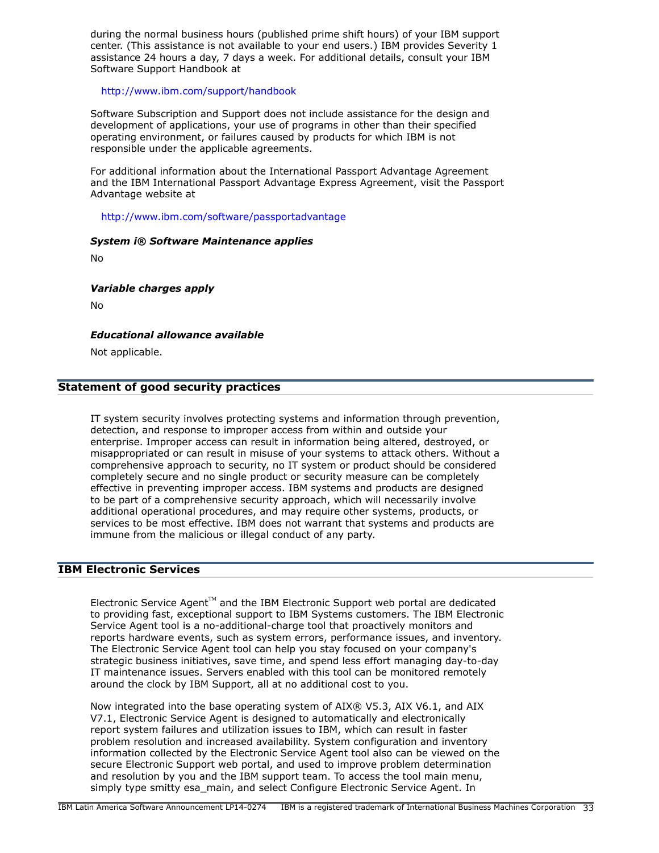during the normal business hours (published prime shift hours) of your IBM support center. (This assistance is not available to your end users.) IBM provides Severity 1 assistance 24 hours a day, 7 days a week. For additional details, consult your IBM Software Support Handbook at

<http://www.ibm.com/support/handbook>

Software Subscription and Support does not include assistance for the design and development of applications, your use of programs in other than their specified operating environment, or failures caused by products for which IBM is not responsible under the applicable agreements.

For additional information about the International Passport Advantage Agreement and the IBM International Passport Advantage Express Agreement, visit the Passport Advantage website at

### <http://www.ibm.com/software/passportadvantage>

#### *System i® Software Maintenance applies*

No

### *Variable charges apply*

No

### *Educational allowance available*

Not applicable.

### **Statement of good security practices**

IT system security involves protecting systems and information through prevention, detection, and response to improper access from within and outside your enterprise. Improper access can result in information being altered, destroyed, or misappropriated or can result in misuse of your systems to attack others. Without a comprehensive approach to security, no IT system or product should be considered completely secure and no single product or security measure can be completely effective in preventing improper access. IBM systems and products are designed to be part of a comprehensive security approach, which will necessarily involve additional operational procedures, and may require other systems, products, or services to be most effective. IBM does not warrant that systems and products are immune from the malicious or illegal conduct of any party.

# **IBM Electronic Services**

Electronic Service Agent $T^M$  and the IBM Electronic Support web portal are dedicated to providing fast, exceptional support to IBM Systems customers. The IBM Electronic Service Agent tool is a no-additional-charge tool that proactively monitors and reports hardware events, such as system errors, performance issues, and inventory. The Electronic Service Agent tool can help you stay focused on your company's strategic business initiatives, save time, and spend less effort managing day-to-day IT maintenance issues. Servers enabled with this tool can be monitored remotely around the clock by IBM Support, all at no additional cost to you.

Now integrated into the base operating system of AIX® V5.3, AIX V6.1, and AIX V7.1, Electronic Service Agent is designed to automatically and electronically report system failures and utilization issues to IBM, which can result in faster problem resolution and increased availability. System configuration and inventory information collected by the Electronic Service Agent tool also can be viewed on the secure Electronic Support web portal, and used to improve problem determination and resolution by you and the IBM support team. To access the tool main menu, simply type smitty esa\_main, and select Configure Electronic Service Agent. In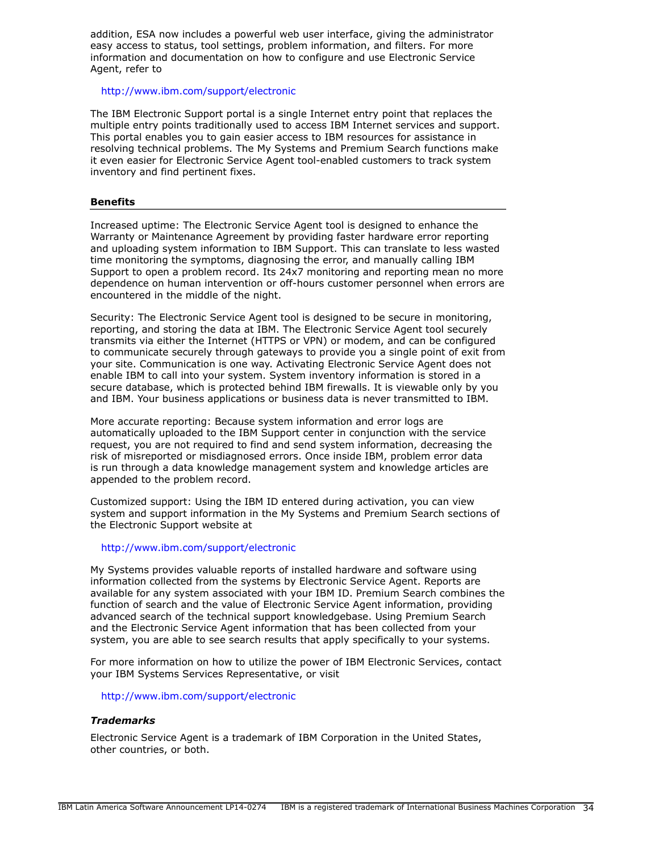addition, ESA now includes a powerful web user interface, giving the administrator easy access to status, tool settings, problem information, and filters. For more information and documentation on how to configure and use Electronic Service Agent, refer to

### <http://www.ibm.com/support/electronic>

The IBM Electronic Support portal is a single Internet entry point that replaces the multiple entry points traditionally used to access IBM Internet services and support. This portal enables you to gain easier access to IBM resources for assistance in resolving technical problems. The My Systems and Premium Search functions make it even easier for Electronic Service Agent tool-enabled customers to track system inventory and find pertinent fixes.

### **Benefits**

Increased uptime: The Electronic Service Agent tool is designed to enhance the Warranty or Maintenance Agreement by providing faster hardware error reporting and uploading system information to IBM Support. This can translate to less wasted time monitoring the symptoms, diagnosing the error, and manually calling IBM Support to open a problem record. Its 24x7 monitoring and reporting mean no more dependence on human intervention or off-hours customer personnel when errors are encountered in the middle of the night.

Security: The Electronic Service Agent tool is designed to be secure in monitoring, reporting, and storing the data at IBM. The Electronic Service Agent tool securely transmits via either the Internet (HTTPS or VPN) or modem, and can be configured to communicate securely through gateways to provide you a single point of exit from your site. Communication is one way. Activating Electronic Service Agent does not enable IBM to call into your system. System inventory information is stored in a secure database, which is protected behind IBM firewalls. It is viewable only by you and IBM. Your business applications or business data is never transmitted to IBM.

More accurate reporting: Because system information and error logs are automatically uploaded to the IBM Support center in conjunction with the service request, you are not required to find and send system information, decreasing the risk of misreported or misdiagnosed errors. Once inside IBM, problem error data is run through a data knowledge management system and knowledge articles are appended to the problem record.

Customized support: Using the IBM ID entered during activation, you can view system and support information in the My Systems and Premium Search sections of the Electronic Support website at

### <http://www.ibm.com/support/electronic>

My Systems provides valuable reports of installed hardware and software using information collected from the systems by Electronic Service Agent. Reports are available for any system associated with your IBM ID. Premium Search combines the function of search and the value of Electronic Service Agent information, providing advanced search of the technical support knowledgebase. Using Premium Search and the Electronic Service Agent information that has been collected from your system, you are able to see search results that apply specifically to your systems.

For more information on how to utilize the power of IBM Electronic Services, contact your IBM Systems Services Representative, or visit

<http://www.ibm.com/support/electronic>

### *Trademarks*

Electronic Service Agent is a trademark of IBM Corporation in the United States, other countries, or both.